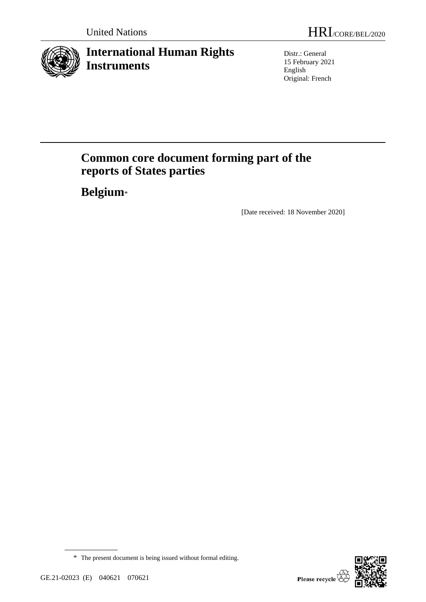

# **International Human Rights Instruments**

Distr.: General 15 February 2021 English Original: French

# **Common core document forming part of the reports of States parties**

**Belgium**\*

[Date received: 18 November 2020]



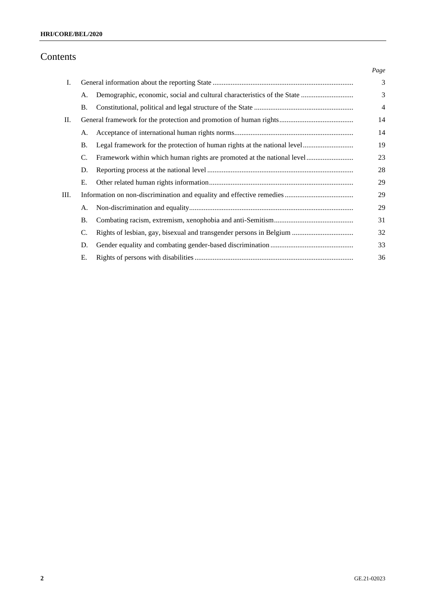## Contents

|    |           |                                                                          | Page           |
|----|-----------|--------------------------------------------------------------------------|----------------|
| Ι. |           |                                                                          | 3              |
|    | А.        | Demographic, economic, social and cultural characteristics of the State  | 3              |
|    | Β.        |                                                                          | $\overline{4}$ |
| П. |           |                                                                          | 14             |
|    | А.        |                                                                          | 14             |
|    | <b>B.</b> | Legal framework for the protection of human rights at the national level | 19             |
|    | C.        | Framework within which human rights are promoted at the national level   | 23             |
|    | D.        |                                                                          | 28             |
|    | Ε.        |                                                                          | 29             |
| Ш. |           |                                                                          | 29             |
|    | А.        |                                                                          | 29             |
|    | <b>B.</b> |                                                                          | 31             |
|    | C.        |                                                                          | 32             |
|    | D.        |                                                                          | 33             |
|    | Е.        |                                                                          | 36             |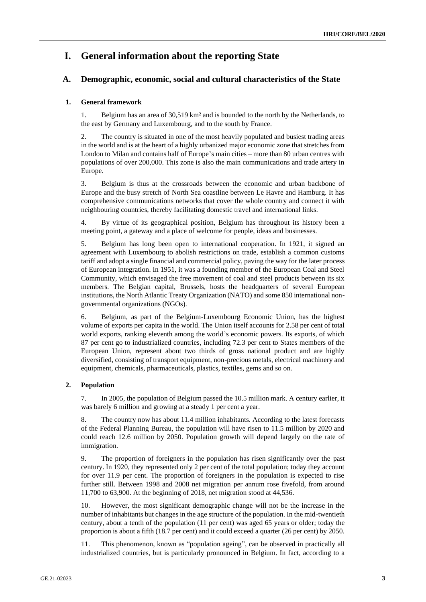## **I. General information about the reporting State**

## **A. Demographic, economic, social and cultural characteristics of the State**

## **1. General framework**

1. Belgium has an area of 30,519 km² and is bounded to the north by the Netherlands, to the east by Germany and Luxembourg, and to the south by France.

2. The country is situated in one of the most heavily populated and busiest trading areas in the world and is at the heart of a highly urbanized major economic zone that stretches from London to Milan and contains half of Europe's main cities – more than 80 urban centres with populations of over 200,000. This zone is also the main communications and trade artery in Europe.

3. Belgium is thus at the crossroads between the economic and urban backbone of Europe and the busy stretch of North Sea coastline between Le Havre and Hamburg. It has comprehensive communications networks that cover the whole country and connect it with neighbouring countries, thereby facilitating domestic travel and international links.

4. By virtue of its geographical position, Belgium has throughout its history been a meeting point, a gateway and a place of welcome for people, ideas and businesses.

5. Belgium has long been open to international cooperation. In 1921, it signed an agreement with Luxembourg to abolish restrictions on trade, establish a common customs tariff and adopt a single financial and commercial policy, paving the way for the later process of European integration. In 1951, it was a founding member of the European Coal and Steel Community, which envisaged the free movement of coal and steel products between its six members. The Belgian capital, Brussels, hosts the headquarters of several European institutions, the North Atlantic Treaty Organization (NATO) and some 850 international nongovernmental organizations (NGOs).

6. Belgium, as part of the Belgium-Luxembourg Economic Union, has the highest volume of exports per capita in the world. The Union itself accounts for 2.58 per cent of total world exports, ranking eleventh among the world's economic powers. Its exports, of which 87 per cent go to industrialized countries, including 72.3 per cent to States members of the European Union, represent about two thirds of gross national product and are highly diversified, consisting of transport equipment, non-precious metals, electrical machinery and equipment, chemicals, pharmaceuticals, plastics, textiles, gems and so on.

## **2. Population**

7. In 2005, the population of Belgium passed the 10.5 million mark. A century earlier, it was barely 6 million and growing at a steady 1 per cent a year.

8. The country now has about 11.4 million inhabitants. According to the latest forecasts of the Federal Planning Bureau, the population will have risen to 11.5 million by 2020 and could reach 12.6 million by 2050. Population growth will depend largely on the rate of immigration.

9. The proportion of foreigners in the population has risen significantly over the past century. In 1920, they represented only 2 per cent of the total population; today they account for over 11.9 per cent. The proportion of foreigners in the population is expected to rise further still. Between 1998 and 2008 net migration per annum rose fivefold, from around 11,700 to 63,900. At the beginning of 2018, net migration stood at 44,536.

10. However, the most significant demographic change will not be the increase in the number of inhabitants but changes in the age structure of the population. In the mid-twentieth century, about a tenth of the population (11 per cent) was aged 65 years or older; today the proportion is about a fifth (18.7 per cent) and it could exceed a quarter (26 per cent) by 2050.

11. This phenomenon, known as "population ageing", can be observed in practically all industrialized countries, but is particularly pronounced in Belgium. In fact, according to a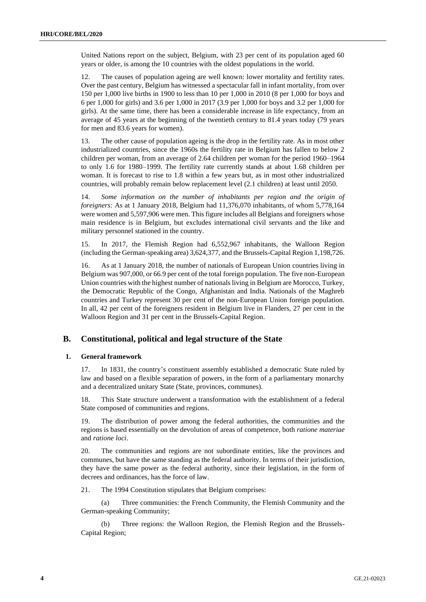United Nations report on the subject, Belgium, with 23 per cent of its population aged 60 years or older, is among the 10 countries with the oldest populations in the world.

12. The causes of population ageing are well known: lower mortality and fertility rates. Over the past century, Belgium has witnessed a spectacular fall in infant mortality, from over 150 per 1,000 live births in 1900 to less than 10 per 1,000 in 2010 (8 per 1,000 for boys and 6 per 1,000 for girls) and 3.6 per 1,000 in 2017 (3.9 per 1,000 for boys and 3.2 per 1,000 for girls). At the same time, there has been a considerable increase in life expectancy, from an average of 45 years at the beginning of the twentieth century to 81.4 years today (79 years for men and 83.6 years for women).

13. The other cause of population ageing is the drop in the fertility rate. As in most other industrialized countries, since the 1960s the fertility rate in Belgium has fallen to below 2 children per woman, from an average of 2.64 children per woman for the period 1960–1964 to only 1.6 for 1980–1999. The fertility rate currently stands at about 1.68 children per woman. It is forecast to rise to 1.8 within a few years but, as in most other industrialized countries, will probably remain below replacement level (2.1 children) at least until 2050.

14. *Some information on the number of inhabitants per region and the origin of foreigners:* As at 1 January 2018, Belgium had 11,376,070 inhabitants, of whom 5,778,164 were women and 5,597,906 were men. This figure includes all Belgians and foreigners whose main residence is in Belgium, but excludes international civil servants and the like and military personnel stationed in the country.

15. In 2017, the Flemish Region had 6,552,967 inhabitants, the Walloon Region (including the German-speaking area) 3,624,377, and the Brussels-Capital Region 1,198,726.

16. As at 1 January 2018, the number of nationals of European Union countries living in Belgium was 907,000, or 66.9 per cent of the total foreign population. The five non-European Union countries with the highest number of nationals living in Belgium are Morocco, Turkey, the Democratic Republic of the Congo, Afghanistan and India. Nationals of the Maghreb countries and Turkey represent 30 per cent of the non-European Union foreign population. In all, 42 per cent of the foreigners resident in Belgium live in Flanders, 27 per cent in the Walloon Region and 31 per cent in the Brussels-Capital Region.

## **B. Constitutional, political and legal structure of the State**

### **1. General framework**

17. In 1831, the country's constituent assembly established a democratic State ruled by law and based on a flexible separation of powers, in the form of a parliamentary monarchy and a decentralized unitary State (State, provinces, communes).

18. This State structure underwent a transformation with the establishment of a federal State composed of communities and regions.

19. The distribution of power among the federal authorities, the communities and the regions is based essentially on the devolution of areas of competence, both *ratione materiae* and *ratione loci*.

20. The communities and regions are not subordinate entities, like the provinces and communes, but have the same standing as the federal authority. In terms of their jurisdiction, they have the same power as the federal authority, since their legislation, in the form of decrees and ordinances, has the force of law.

21. The 1994 Constitution stipulates that Belgium comprises:

(a) Three communities: the French Community, the Flemish Community and the German-speaking Community;

(b) Three regions: the Walloon Region, the Flemish Region and the Brussels-Capital Region;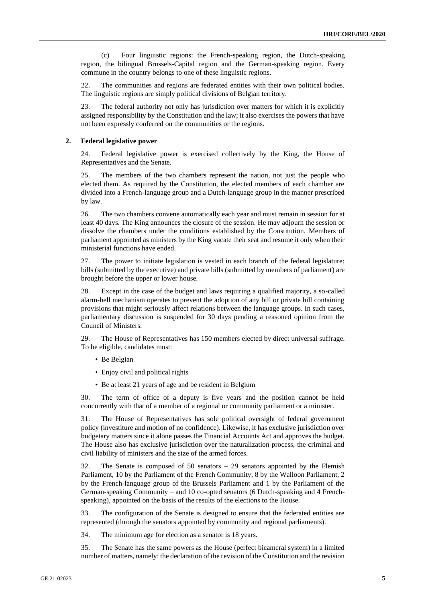(c) Four linguistic regions: the French-speaking region, the Dutch-speaking region, the bilingual Brussels-Capital region and the German-speaking region. Every commune in the country belongs to one of these linguistic regions.

22. The communities and regions are federated entities with their own political bodies. The linguistic regions are simply political divisions of Belgian territory.

23. The federal authority not only has jurisdiction over matters for which it is explicitly assigned responsibility by the Constitution and the law; it also exercises the powers that have not been expressly conferred on the communities or the regions.

#### **2. Federal legislative power**

24. Federal legislative power is exercised collectively by the King, the House of Representatives and the Senate.

25. The members of the two chambers represent the nation, not just the people who elected them. As required by the Constitution, the elected members of each chamber are divided into a French-language group and a Dutch-language group in the manner prescribed by law.

26. The two chambers convene automatically each year and must remain in session for at least 40 days. The King announces the closure of the session. He may adjourn the session or dissolve the chambers under the conditions established by the Constitution. Members of parliament appointed as ministers by the King vacate their seat and resume it only when their ministerial functions have ended.

27. The power to initiate legislation is vested in each branch of the federal legislature: bills (submitted by the executive) and private bills (submitted by members of parliament) are brought before the upper or lower house.

28. Except in the case of the budget and laws requiring a qualified majority, a so-called alarm-bell mechanism operates to prevent the adoption of any bill or private bill containing provisions that might seriously affect relations between the language groups. In such cases, parliamentary discussion is suspended for 30 days pending a reasoned opinion from the Council of Ministers.

29. The House of Representatives has 150 members elected by direct universal suffrage. To be eligible, candidates must:

- Be Belgian
- Enjoy civil and political rights
- Be at least 21 years of age and be resident in Belgium

30. The term of office of a deputy is five years and the position cannot be held concurrently with that of a member of a regional or community parliament or a minister.

31. The House of Representatives has sole political oversight of federal government policy (investiture and motion of no confidence). Likewise, it has exclusive jurisdiction over budgetary matters since it alone passes the Financial Accounts Act and approves the budget. The House also has exclusive jurisdiction over the naturalization process, the criminal and civil liability of ministers and the size of the armed forces.

32. The Senate is composed of 50 senators – 29 senators appointed by the Flemish Parliament, 10 by the Parliament of the French Community, 8 by the Walloon Parliament, 2 by the French-language group of the Brussels Parliament and 1 by the Parliament of the German-speaking Community – and 10 co-opted senators (6 Dutch-speaking and 4 Frenchspeaking), appointed on the basis of the results of the elections to the House.

33. The configuration of the Senate is designed to ensure that the federated entities are represented (through the senators appointed by community and regional parliaments).

34. The minimum age for election as a senator is 18 years.

35. The Senate has the same powers as the House (perfect bicameral system) in a limited number of matters, namely: the declaration of the revision of the Constitution and the revision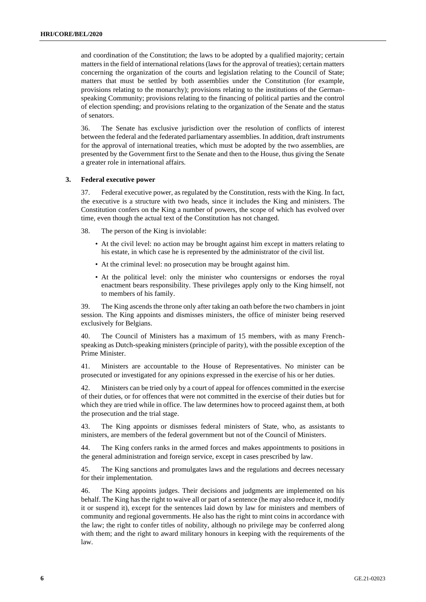and coordination of the Constitution; the laws to be adopted by a qualified majority; certain matters in the field of international relations (laws for the approval of treaties); certain matters concerning the organization of the courts and legislation relating to the Council of State; matters that must be settled by both assemblies under the Constitution (for example, provisions relating to the monarchy); provisions relating to the institutions of the Germanspeaking Community; provisions relating to the financing of political parties and the control of election spending; and provisions relating to the organization of the Senate and the status of senators.

36. The Senate has exclusive jurisdiction over the resolution of conflicts of interest between the federal and the federated parliamentary assemblies. In addition, draft instruments for the approval of international treaties, which must be adopted by the two assemblies, are presented by the Government first to the Senate and then to the House, thus giving the Senate a greater role in international affairs.

#### **3. Federal executive power**

37. Federal executive power, as regulated by the Constitution, rests with the King. In fact, the executive is a structure with two heads, since it includes the King and ministers. The Constitution confers on the King a number of powers, the scope of which has evolved over time, even though the actual text of the Constitution has not changed.

38. The person of the King is inviolable:

- At the civil level: no action may be brought against him except in matters relating to his estate, in which case he is represented by the administrator of the civil list.
- At the criminal level: no prosecution may be brought against him.
- At the political level: only the minister who countersigns or endorses the royal enactment bears responsibility. These privileges apply only to the King himself, not to members of his family.

39. The King ascends the throne only after taking an oath before the two chambers in joint session. The King appoints and dismisses ministers, the office of minister being reserved exclusively for Belgians.

The Council of Ministers has a maximum of 15 members, with as many Frenchspeaking as Dutch-speaking ministers (principle of parity), with the possible exception of the Prime Minister.

41. Ministers are accountable to the House of Representatives. No minister can be prosecuted or investigated for any opinions expressed in the exercise of his or her duties.

42. Ministers can be tried only by a court of appeal for offences committed in the exercise of their duties, or for offences that were not committed in the exercise of their duties but for which they are tried while in office. The law determines how to proceed against them, at both the prosecution and the trial stage.

43. The King appoints or dismisses federal ministers of State, who, as assistants to ministers, are members of the federal government but not of the Council of Ministers.

44. The King confers ranks in the armed forces and makes appointments to positions in the general administration and foreign service, except in cases prescribed by law.

45. The King sanctions and promulgates laws and the regulations and decrees necessary for their implementation.

46. The King appoints judges. Their decisions and judgments are implemented on his behalf. The King has the right to waive all or part of a sentence (he may also reduce it, modify it or suspend it), except for the sentences laid down by law for ministers and members of community and regional governments. He also has the right to mint coins in accordance with the law; the right to confer titles of nobility, although no privilege may be conferred along with them; and the right to award military honours in keeping with the requirements of the law.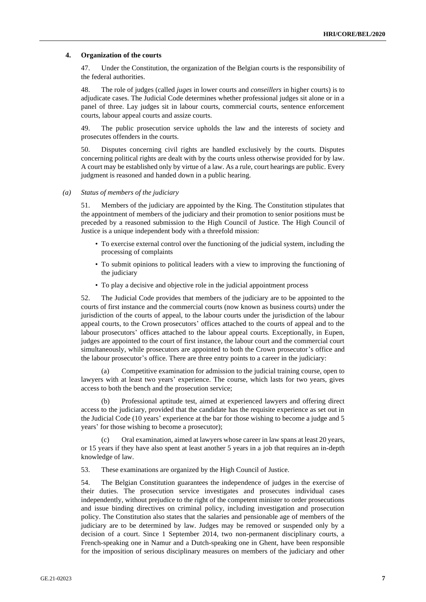#### **4. Organization of the courts**

47. Under the Constitution, the organization of the Belgian courts is the responsibility of the federal authorities.

48. The role of judges (called *juges* in lower courts and *conseillers* in higher courts) is to adjudicate cases. The Judicial Code determines whether professional judges sit alone or in a panel of three. Lay judges sit in labour courts, commercial courts, sentence enforcement courts, labour appeal courts and assize courts.

49. The public prosecution service upholds the law and the interests of society and prosecutes offenders in the courts.

50. Disputes concerning civil rights are handled exclusively by the courts. Disputes concerning political rights are dealt with by the courts unless otherwise provided for by law. A court may be established only by virtue of a law. As a rule, court hearings are public. Every judgment is reasoned and handed down in a public hearing.

*(a) Status of members of the judiciary*

51. Members of the judiciary are appointed by the King. The Constitution stipulates that the appointment of members of the judiciary and their promotion to senior positions must be preceded by a reasoned submission to the High Council of Justice. The High Council of Justice is a unique independent body with a threefold mission:

- To exercise external control over the functioning of the judicial system, including the processing of complaints
- To submit opinions to political leaders with a view to improving the functioning of the judiciary
- To play a decisive and objective role in the judicial appointment process

52. The Judicial Code provides that members of the judiciary are to be appointed to the courts of first instance and the commercial courts (now known as business courts) under the jurisdiction of the courts of appeal, to the labour courts under the jurisdiction of the labour appeal courts, to the Crown prosecutors' offices attached to the courts of appeal and to the labour prosecutors' offices attached to the labour appeal courts. Exceptionally, in Eupen, judges are appointed to the court of first instance, the labour court and the commercial court simultaneously, while prosecutors are appointed to both the Crown prosecutor's office and the labour prosecutor's office. There are three entry points to a career in the judiciary:

(a) Competitive examination for admission to the judicial training course, open to lawyers with at least two years' experience. The course, which lasts for two years, gives access to both the bench and the prosecution service;

(b) Professional aptitude test, aimed at experienced lawyers and offering direct access to the judiciary, provided that the candidate has the requisite experience as set out in the Judicial Code (10 years' experience at the bar for those wishing to become a judge and 5 years' for those wishing to become a prosecutor);

(c) Oral examination, aimed at lawyers whose career in law spans at least 20 years, or 15 years if they have also spent at least another 5 years in a job that requires an in-depth knowledge of law.

53. These examinations are organized by the High Council of Justice.

54. The Belgian Constitution guarantees the independence of judges in the exercise of their duties. The prosecution service investigates and prosecutes individual cases independently, without prejudice to the right of the competent minister to order prosecutions and issue binding directives on criminal policy, including investigation and prosecution policy. The Constitution also states that the salaries and pensionable age of members of the judiciary are to be determined by law. Judges may be removed or suspended only by a decision of a court. Since 1 September 2014, two non-permanent disciplinary courts, a French-speaking one in Namur and a Dutch-speaking one in Ghent, have been responsible for the imposition of serious disciplinary measures on members of the judiciary and other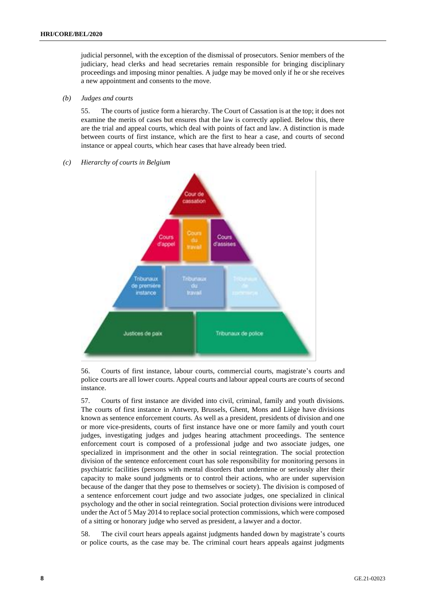judicial personnel, with the exception of the dismissal of prosecutors. Senior members of the judiciary, head clerks and head secretaries remain responsible for bringing disciplinary proceedings and imposing minor penalties. A judge may be moved only if he or she receives a new appointment and consents to the move.

#### *(b) Judges and courts*

55. The courts of justice form a hierarchy. The Court of Cassation is at the top; it does not examine the merits of cases but ensures that the law is correctly applied. Below this, there are the trial and appeal courts, which deal with points of fact and law. A distinction is made between courts of first instance, which are the first to hear a case, and courts of second instance or appeal courts, which hear cases that have already been tried.

#### *(c) Hierarchy of courts in Belgium*



56. Courts of first instance, labour courts, commercial courts, magistrate's courts and police courts are all lower courts. Appeal courts and labour appeal courts are courts of second instance.

57. Courts of first instance are divided into civil, criminal, family and youth divisions. The courts of first instance in Antwerp, Brussels, Ghent, Mons and Liège have divisions known as sentence enforcement courts. As well as a president, presidents of division and one or more vice-presidents, courts of first instance have one or more family and youth court judges, investigating judges and judges hearing attachment proceedings. The sentence enforcement court is composed of a professional judge and two associate judges, one specialized in imprisonment and the other in social reintegration. The social protection division of the sentence enforcement court has sole responsibility for monitoring persons in psychiatric facilities (persons with mental disorders that undermine or seriously alter their capacity to make sound judgments or to control their actions, who are under supervision because of the danger that they pose to themselves or society). The division is composed of a sentence enforcement court judge and two associate judges, one specialized in clinical psychology and the other in social reintegration. Social protection divisions were introduced under the Act of 5 May 2014 to replace social protection commissions, which were composed of a sitting or honorary judge who served as president, a lawyer and a doctor.

58. The civil court hears appeals against judgments handed down by magistrate's courts or police courts, as the case may be. The criminal court hears appeals against judgments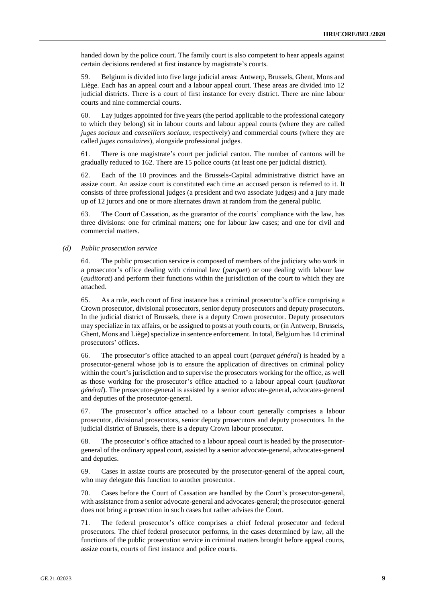handed down by the police court. The family court is also competent to hear appeals against certain decisions rendered at first instance by magistrate's courts.

59. Belgium is divided into five large judicial areas: Antwerp, Brussels, Ghent, Mons and Liège. Each has an appeal court and a labour appeal court. These areas are divided into 12 judicial districts. There is a court of first instance for every district. There are nine labour courts and nine commercial courts.

60. Lay judges appointed for five years (the period applicable to the professional category to which they belong) sit in labour courts and labour appeal courts (where they are called *juges sociaux* and *conseillers sociaux*, respectively) and commercial courts (where they are called *juges consulaires*), alongside professional judges.

61. There is one magistrate's court per judicial canton. The number of cantons will be gradually reduced to 162. There are 15 police courts (at least one per judicial district).

62. Each of the 10 provinces and the Brussels-Capital administrative district have an assize court. An assize court is constituted each time an accused person is referred to it. It consists of three professional judges (a president and two associate judges) and a jury made up of 12 jurors and one or more alternates drawn at random from the general public.

63. The Court of Cassation, as the guarantor of the courts' compliance with the law, has three divisions: one for criminal matters; one for labour law cases; and one for civil and commercial matters.

*(d) Public prosecution service*

64. The public prosecution service is composed of members of the judiciary who work in a prosecutor's office dealing with criminal law (*parquet*) or one dealing with labour law (*auditorat*) and perform their functions within the jurisdiction of the court to which they are attached.

65. As a rule, each court of first instance has a criminal prosecutor's office comprising a Crown prosecutor, divisional prosecutors, senior deputy prosecutors and deputy prosecutors. In the judicial district of Brussels, there is a deputy Crown prosecutor. Deputy prosecutors may specialize in tax affairs, or be assigned to posts at youth courts, or (in Antwerp, Brussels, Ghent, Mons and Liège) specialize in sentence enforcement. In total, Belgium has 14 criminal prosecutors' offices.

66. The prosecutor's office attached to an appeal court (*parquet général*) is headed by a prosecutor-general whose job is to ensure the application of directives on criminal policy within the court's jurisdiction and to supervise the prosecutors working for the office, as well as those working for the prosecutor's office attached to a labour appeal court (*auditorat général*). The prosecutor-general is assisted by a senior advocate-general, advocates-general and deputies of the prosecutor-general.

67. The prosecutor's office attached to a labour court generally comprises a labour prosecutor, divisional prosecutors, senior deputy prosecutors and deputy prosecutors. In the judicial district of Brussels, there is a deputy Crown labour prosecutor.

68. The prosecutor's office attached to a labour appeal court is headed by the prosecutorgeneral of the ordinary appeal court, assisted by a senior advocate-general, advocates-general and deputies.

69. Cases in assize courts are prosecuted by the prosecutor-general of the appeal court, who may delegate this function to another prosecutor.

70. Cases before the Court of Cassation are handled by the Court's prosecutor-general, with assistance from a senior advocate-general and advocates-general; the prosecutor-general does not bring a prosecution in such cases but rather advises the Court.

71. The federal prosecutor's office comprises a chief federal prosecutor and federal prosecutors. The chief federal prosecutor performs, in the cases determined by law, all the functions of the public prosecution service in criminal matters brought before appeal courts, assize courts, courts of first instance and police courts.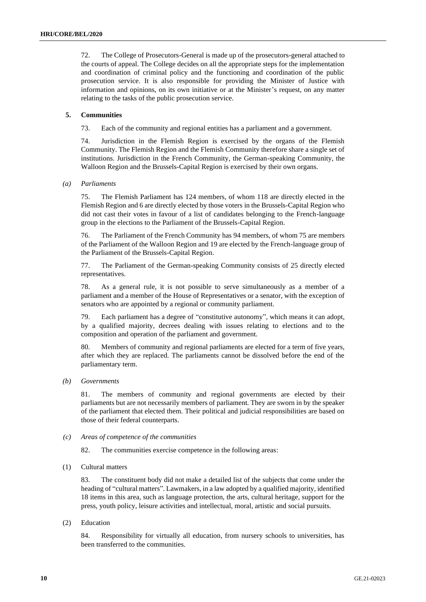72. The College of Prosecutors-General is made up of the prosecutors-general attached to the courts of appeal. The College decides on all the appropriate steps for the implementation and coordination of criminal policy and the functioning and coordination of the public prosecution service. It is also responsible for providing the Minister of Justice with information and opinions, on its own initiative or at the Minister's request, on any matter relating to the tasks of the public prosecution service.

#### **5. Communities**

73. Each of the community and regional entities has a parliament and a government.

74. Jurisdiction in the Flemish Region is exercised by the organs of the Flemish Community. The Flemish Region and the Flemish Community therefore share a single set of institutions. Jurisdiction in the French Community, the German-speaking Community, the Walloon Region and the Brussels-Capital Region is exercised by their own organs.

#### *(a) Parliaments*

75. The Flemish Parliament has 124 members, of whom 118 are directly elected in the Flemish Region and 6 are directly elected by those voters in the Brussels-Capital Region who did not cast their votes in favour of a list of candidates belonging to the French-language group in the elections to the Parliament of the Brussels-Capital Region.

76. The Parliament of the French Community has 94 members, of whom 75 are members of the Parliament of the Walloon Region and 19 are elected by the French-language group of the Parliament of the Brussels-Capital Region.

77. The Parliament of the German-speaking Community consists of 25 directly elected representatives.

78. As a general rule, it is not possible to serve simultaneously as a member of a parliament and a member of the House of Representatives or a senator, with the exception of senators who are appointed by a regional or community parliament.

79. Each parliament has a degree of "constitutive autonomy", which means it can adopt, by a qualified majority, decrees dealing with issues relating to elections and to the composition and operation of the parliament and government.

80. Members of community and regional parliaments are elected for a term of five years, after which they are replaced. The parliaments cannot be dissolved before the end of the parliamentary term.

*(b) Governments*

81. The members of community and regional governments are elected by their parliaments but are not necessarily members of parliament. They are sworn in by the speaker of the parliament that elected them. Their political and judicial responsibilities are based on those of their federal counterparts.

*(c) Areas of competence of the communities*

82. The communities exercise competence in the following areas:

(1) Cultural matters

83. The constituent body did not make a detailed list of the subjects that come under the heading of "cultural matters". Lawmakers, in a law adopted by a qualified majority, identified 18 items in this area, such as language protection, the arts, cultural heritage, support for the press, youth policy, leisure activities and intellectual, moral, artistic and social pursuits.

(2) Education

84. Responsibility for virtually all education, from nursery schools to universities, has been transferred to the communities.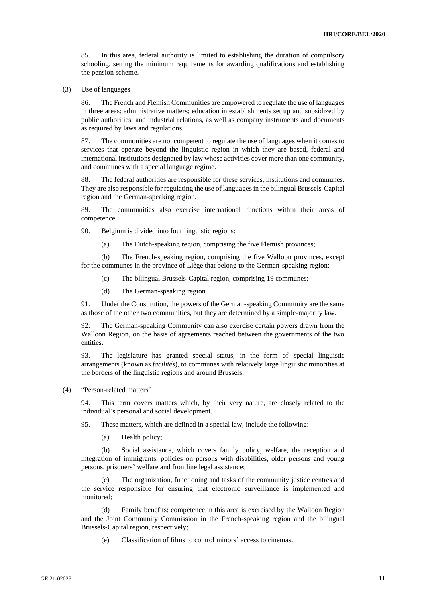85. In this area, federal authority is limited to establishing the duration of compulsory schooling, setting the minimum requirements for awarding qualifications and establishing the pension scheme.

(3) Use of languages

86. The French and Flemish Communities are empowered to regulate the use of languages in three areas: administrative matters; education in establishments set up and subsidized by public authorities; and industrial relations, as well as company instruments and documents as required by laws and regulations.

87. The communities are not competent to regulate the use of languages when it comes to services that operate beyond the linguistic region in which they are based, federal and international institutions designated by law whose activities cover more than one community, and communes with a special language regime.

88. The federal authorities are responsible for these services, institutions and communes. They are also responsible for regulating the use of languages in the bilingual Brussels-Capital region and the German-speaking region.

89. The communities also exercise international functions within their areas of competence.

90. Belgium is divided into four linguistic regions:

(a) The Dutch-speaking region, comprising the five Flemish provinces;

(b) The French-speaking region, comprising the five Walloon provinces, except for the communes in the province of Liège that belong to the German-speaking region;

(c) The bilingual Brussels-Capital region, comprising 19 communes;

(d) The German-speaking region.

91. Under the Constitution, the powers of the German-speaking Community are the same as those of the other two communities, but they are determined by a simple-majority law.

92. The German-speaking Community can also exercise certain powers drawn from the Walloon Region, on the basis of agreements reached between the governments of the two entities.

93. The legislature has granted special status, in the form of special linguistic arrangements (known as *facilités*), to communes with relatively large linguistic minorities at the borders of the linguistic regions and around Brussels.

(4) "Person-related matters"

94. This term covers matters which, by their very nature, are closely related to the individual's personal and social development.

95. These matters, which are defined in a special law, include the following:

(a) Health policy;

(b) Social assistance, which covers family policy, welfare, the reception and integration of immigrants, policies on persons with disabilities, older persons and young persons, prisoners' welfare and frontline legal assistance;

The organization, functioning and tasks of the community justice centres and the service responsible for ensuring that electronic surveillance is implemented and monitored;

(d) Family benefits: competence in this area is exercised by the Walloon Region and the Joint Community Commission in the French-speaking region and the bilingual Brussels-Capital region, respectively;

(e) Classification of films to control minors' access to cinemas.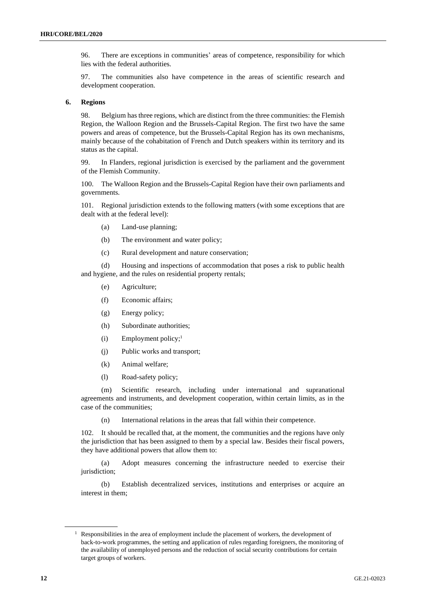96. There are exceptions in communities' areas of competence, responsibility for which lies with the federal authorities.

97. The communities also have competence in the areas of scientific research and development cooperation.

#### **6. Regions**

98. Belgium has three regions, which are distinct from the three communities: the Flemish Region, the Walloon Region and the Brussels-Capital Region. The first two have the same powers and areas of competence, but the Brussels-Capital Region has its own mechanisms, mainly because of the cohabitation of French and Dutch speakers within its territory and its status as the capital.

99. In Flanders, regional jurisdiction is exercised by the parliament and the government of the Flemish Community.

100. The Walloon Region and the Brussels-Capital Region have their own parliaments and governments.

101. Regional jurisdiction extends to the following matters (with some exceptions that are dealt with at the federal level):

- (a) Land-use planning;
- (b) The environment and water policy;
- (c) Rural development and nature conservation;

(d) Housing and inspections of accommodation that poses a risk to public health and hygiene, and the rules on residential property rentals;

- (e) Agriculture;
- (f) Economic affairs;
- (g) Energy policy;
- (h) Subordinate authorities;
- $(i)$  Employment policy;<sup>1</sup>
- (j) Public works and transport;
- (k) Animal welfare;
- (l) Road-safety policy;

(m) Scientific research, including under international and supranational agreements and instruments, and development cooperation, within certain limits, as in the case of the communities;

(n) International relations in the areas that fall within their competence.

102. It should be recalled that, at the moment, the communities and the regions have only the jurisdiction that has been assigned to them by a special law. Besides their fiscal powers, they have additional powers that allow them to:

(a) Adopt measures concerning the infrastructure needed to exercise their jurisdiction;

(b) Establish decentralized services, institutions and enterprises or acquire an interest in them;

<sup>&</sup>lt;sup>1</sup> Responsibilities in the area of employment include the placement of workers, the development of back-to-work programmes, the setting and application of rules regarding foreigners, the monitoring of the availability of unemployed persons and the reduction of social security contributions for certain target groups of workers.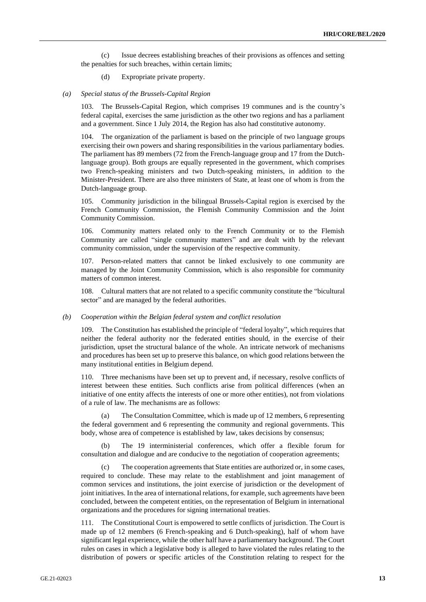(c) Issue decrees establishing breaches of their provisions as offences and setting the penalties for such breaches, within certain limits;

(d) Expropriate private property.

#### *(a) Special status of the Brussels-Capital Region*

103. The Brussels-Capital Region, which comprises 19 communes and is the country's federal capital, exercises the same jurisdiction as the other two regions and has a parliament and a government. Since 1 July 2014, the Region has also had constitutive autonomy.

104. The organization of the parliament is based on the principle of two language groups exercising their own powers and sharing responsibilities in the various parliamentary bodies. The parliament has 89 members (72 from the French-language group and 17 from the Dutchlanguage group). Both groups are equally represented in the government, which comprises two French-speaking ministers and two Dutch-speaking ministers, in addition to the Minister-President. There are also three ministers of State, at least one of whom is from the Dutch-language group.

105. Community jurisdiction in the bilingual Brussels-Capital region is exercised by the French Community Commission, the Flemish Community Commission and the Joint Community Commission.

106. Community matters related only to the French Community or to the Flemish Community are called "single community matters" and are dealt with by the relevant community commission, under the supervision of the respective community.

107. Person-related matters that cannot be linked exclusively to one community are managed by the Joint Community Commission, which is also responsible for community matters of common interest.

108. Cultural matters that are not related to a specific community constitute the "bicultural sector" and are managed by the federal authorities.

#### *(b) Cooperation within the Belgian federal system and conflict resolution*

109. The Constitution has established the principle of "federal loyalty", which requires that neither the federal authority nor the federated entities should, in the exercise of their jurisdiction, upset the structural balance of the whole. An intricate network of mechanisms and procedures has been set up to preserve this balance, on which good relations between the many institutional entities in Belgium depend.

110. Three mechanisms have been set up to prevent and, if necessary, resolve conflicts of interest between these entities. Such conflicts arise from political differences (when an initiative of one entity affects the interests of one or more other entities), not from violations of a rule of law. The mechanisms are as follows:

The Consultation Committee, which is made up of 12 members, 6 representing the federal government and 6 representing the community and regional governments. This body, whose area of competence is established by law, takes decisions by consensus;

(b) The 19 interministerial conferences, which offer a flexible forum for consultation and dialogue and are conducive to the negotiation of cooperation agreements;

(c) The cooperation agreements that State entities are authorized or, in some cases, required to conclude. These may relate to the establishment and joint management of common services and institutions, the joint exercise of jurisdiction or the development of joint initiatives. In the area of international relations, for example, such agreements have been concluded, between the competent entities, on the representation of Belgium in international organizations and the procedures for signing international treaties.

111. The Constitutional Court is empowered to settle conflicts of jurisdiction. The Court is made up of 12 members (6 French-speaking and 6 Dutch-speaking), half of whom have significant legal experience, while the other half have a parliamentary background. The Court rules on cases in which a legislative body is alleged to have violated the rules relating to the distribution of powers or specific articles of the Constitution relating to respect for the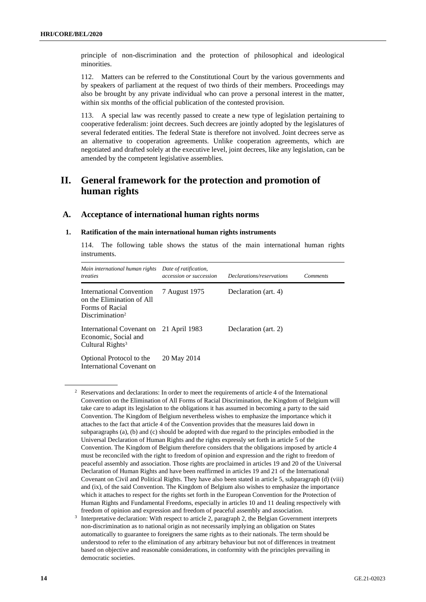principle of non-discrimination and the protection of philosophical and ideological minorities.

112. Matters can be referred to the Constitutional Court by the various governments and by speakers of parliament at the request of two thirds of their members. Proceedings may also be brought by any private individual who can prove a personal interest in the matter, within six months of the official publication of the contested provision.

113. A special law was recently passed to create a new type of legislation pertaining to cooperative federalism: joint decrees. Such decrees are jointly adopted by the legislatures of several federated entities. The federal State is therefore not involved. Joint decrees serve as an alternative to cooperation agreements. Unlike cooperation agreements, which are negotiated and drafted solely at the executive level, joint decrees, like any legislation, can be amended by the competent legislative assemblies.

## **II. General framework for the protection and promotion of human rights**

## **A. Acceptance of international human rights norms**

#### **1. Ratification of the main international human rights instruments**

114. The following table shows the status of the main international human rights instruments.

| Main international human rights<br><i>treaties</i>                                                             | Date of ratification,<br>accession or succession | <i>Declarations/reservations</i> | <i>Comments</i> |
|----------------------------------------------------------------------------------------------------------------|--------------------------------------------------|----------------------------------|-----------------|
| <b>International Convention</b><br>on the Elimination of All<br>Forms of Racial<br>Discrimination <sup>2</sup> | 7 August 1975                                    | Declaration (art. 4)             |                 |
| International Covenant on<br>Economic, Social and<br>Cultural Rights <sup>3</sup>                              | 21 April 1983                                    | Declaration (art. 2)             |                 |
| Optional Protocol to the<br>International Covenant on                                                          | 20 May 2014                                      |                                  |                 |

<sup>&</sup>lt;sup>2</sup> Reservations and declarations: In order to meet the requirements of article 4 of the International Convention on the Elimination of All Forms of Racial Discrimination, the Kingdom of Belgium will take care to adapt its legislation to the obligations it has assumed in becoming a party to the said Convention. The Kingdom of Belgium nevertheless wishes to emphasize the importance which it attaches to the fact that article 4 of the Convention provides that the measures laid down in subparagraphs (a), (b) and (c) should be adopted with due regard to the principles embodied in the Universal Declaration of Human Rights and the rights expressly set forth in article 5 of the Convention. The Kingdom of Belgium therefore considers that the obligations imposed by article 4 must be reconciled with the right to freedom of opinion and expression and the right to freedom of peaceful assembly and association. Those rights are proclaimed in articles 19 and 20 of the Universal Declaration of Human Rights and have been reaffirmed in articles 19 and 21 of the International Covenant on Civil and Political Rights. They have also been stated in article 5, subparagraph (d) (viii) and (ix), of the said Convention. The Kingdom of Belgium also wishes to emphasize the importance which it attaches to respect for the rights set forth in the European Convention for the Protection of Human Rights and Fundamental Freedoms, especially in articles 10 and 11 dealing respectively with freedom of opinion and expression and freedom of peaceful assembly and association.

<sup>&</sup>lt;sup>3</sup> Interpretative declaration: With respect to article 2, paragraph 2, the Belgian Government interprets non-discrimination as to national origin as not necessarily implying an obligation on States automatically to guarantee to foreigners the same rights as to their nationals. The term should be understood to refer to the elimination of any arbitrary behaviour but not of differences in treatment based on objective and reasonable considerations, in conformity with the principles prevailing in democratic societies.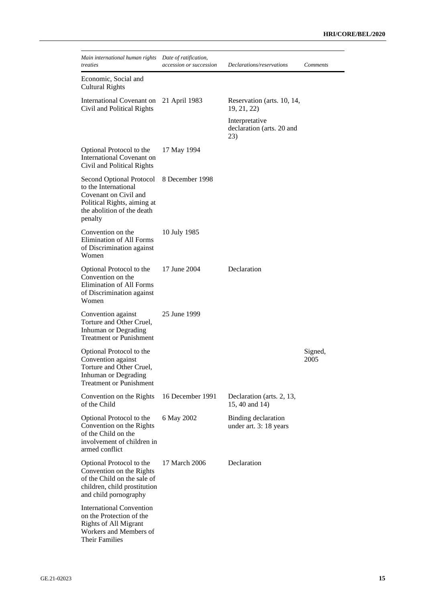| Main international human rights<br>treaties                                                                                                       | Date of ratification,<br>accession or succession | Declarations/reservations                          | <b>Comments</b> |
|---------------------------------------------------------------------------------------------------------------------------------------------------|--------------------------------------------------|----------------------------------------------------|-----------------|
| Economic, Social and<br><b>Cultural Rights</b>                                                                                                    |                                                  |                                                    |                 |
| International Covenant on<br>Civil and Political Rights                                                                                           | 21 April 1983                                    | Reservation (arts. 10, 14,<br>19, 21, 22)          |                 |
|                                                                                                                                                   |                                                  | Interpretative<br>declaration (arts. 20 and<br>23) |                 |
| Optional Protocol to the<br>International Covenant on<br>Civil and Political Rights                                                               | 17 May 1994                                      |                                                    |                 |
| Second Optional Protocol<br>to the International<br>Covenant on Civil and<br>Political Rights, aiming at<br>the abolition of the death<br>penalty | 8 December 1998                                  |                                                    |                 |
| Convention on the<br>Elimination of All Forms<br>of Discrimination against<br>Women                                                               | 10 July 1985                                     |                                                    |                 |
| Optional Protocol to the<br>Convention on the<br>Elimination of All Forms<br>of Discrimination against<br>Women                                   | 17 June 2004                                     | Declaration                                        |                 |
| Convention against<br>Torture and Other Cruel,<br>Inhuman or Degrading<br><b>Treatment or Punishment</b>                                          | 25 June 1999                                     |                                                    |                 |
| Optional Protocol to the<br>Convention against<br>Torture and Other Cruel,<br>Inhuman or Degrading<br><b>Treatment or Punishment</b>              |                                                  |                                                    | Signed,<br>2005 |
| Convention on the Rights<br>of the Child                                                                                                          | 16 December 1991                                 | Declaration (arts. 2, 13,<br>15, 40 and 14)        |                 |
| Optional Protocol to the<br>Convention on the Rights<br>of the Child on the<br>involvement of children in<br>armed conflict                       | 6 May 2002                                       | Binding declaration<br>under art. 3: 18 years      |                 |
| Optional Protocol to the<br>Convention on the Rights<br>of the Child on the sale of<br>children, child prostitution<br>and child pornography      | 17 March 2006                                    | Declaration                                        |                 |
| <b>International Convention</b><br>on the Protection of the<br><b>Rights of All Migrant</b><br>Workers and Members of<br><b>Their Families</b>    |                                                  |                                                    |                 |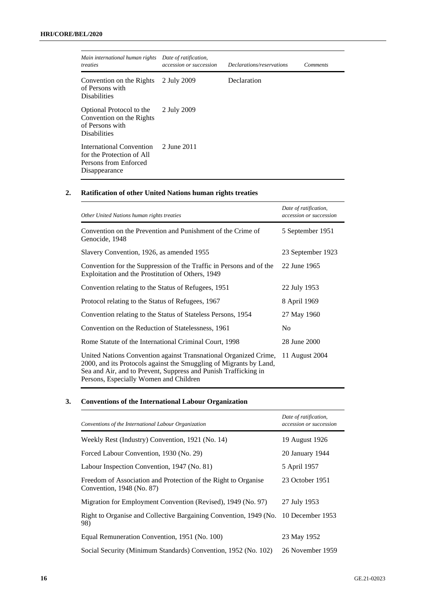| Main international human rights<br>treaties                                                     | Date of ratification,<br>accession or succession | Declarations/reservations | <i>Comments</i> |
|-------------------------------------------------------------------------------------------------|--------------------------------------------------|---------------------------|-----------------|
| Convention on the Rights<br>of Persons with<br><b>Disabilities</b>                              | 2 July 2009                                      | Declaration               |                 |
| Optional Protocol to the<br>Convention on the Rights<br>of Persons with<br><b>Disabilities</b>  | 2 July 2009                                      |                           |                 |
| International Convention<br>for the Protection of All<br>Persons from Enforced<br>Disappearance | 2 June 2011                                      |                           |                 |

## **2. Ratification of other United Nations human rights treaties**

| Other United Nations human rights treaties                                                                                                                                                                                                          | Date of ratification,<br>accession or succession |
|-----------------------------------------------------------------------------------------------------------------------------------------------------------------------------------------------------------------------------------------------------|--------------------------------------------------|
| Convention on the Prevention and Punishment of the Crime of<br>Genocide, 1948                                                                                                                                                                       | 5 September 1951                                 |
| Slavery Convention, 1926, as amended 1955                                                                                                                                                                                                           | 23 September 1923                                |
| Convention for the Suppression of the Traffic in Persons and of the<br>Exploitation and the Prostitution of Others, 1949                                                                                                                            | 22 June 1965                                     |
| Convention relating to the Status of Refugees, 1951                                                                                                                                                                                                 | 22 July 1953                                     |
| Protocol relating to the Status of Refugees, 1967                                                                                                                                                                                                   | 8 April 1969                                     |
| Convention relating to the Status of Stateless Persons, 1954                                                                                                                                                                                        | 27 May 1960                                      |
| Convention on the Reduction of Statelessness, 1961                                                                                                                                                                                                  | No                                               |
| Rome Statute of the International Criminal Court, 1998                                                                                                                                                                                              | 28 June 2000                                     |
| United Nations Convention against Transnational Organized Crime,<br>2000, and its Protocols against the Smuggling of Migrants by Land,<br>Sea and Air, and to Prevent, Suppress and Punish Trafficking in<br>Persons, Especially Women and Children | 11 August 2004                                   |

## **3. Conventions of the International Labour Organization**

| Conventions of the International Labour Organization                                        | Date of ratification,<br>accession or succession |
|---------------------------------------------------------------------------------------------|--------------------------------------------------|
| Weekly Rest (Industry) Convention, 1921 (No. 14)                                            | 19 August 1926                                   |
| Forced Labour Convention, 1930 (No. 29)                                                     | 20 January 1944                                  |
| Labour Inspection Convention, 1947 (No. 81)                                                 | 5 April 1957                                     |
| Freedom of Association and Protection of the Right to Organise<br>Convention, 1948 (No. 87) | 23 October 1951                                  |
| Migration for Employment Convention (Revised), 1949 (No. 97)                                | 27 July 1953                                     |
| Right to Organise and Collective Bargaining Convention, 1949 (No.<br>98)                    | 10 December 1953                                 |
| Equal Remuneration Convention, 1951 (No. 100)                                               | 23 May 1952                                      |
| Social Security (Minimum Standards) Convention, 1952 (No. 102)                              | 26 November 1959                                 |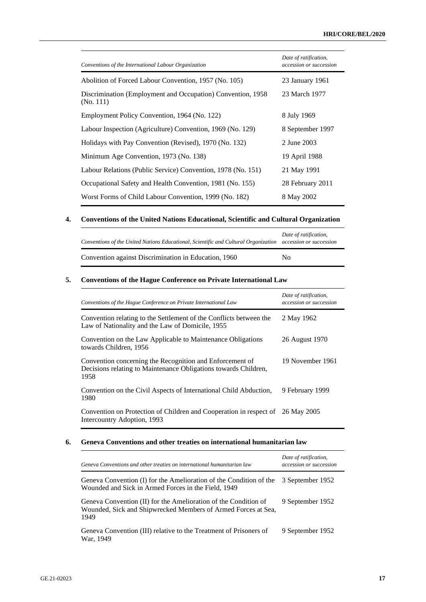| Conventions of the International Labour Organization                     | Date of ratification,<br>accession or succession |
|--------------------------------------------------------------------------|--------------------------------------------------|
| Abolition of Forced Labour Convention, 1957 (No. 105)                    | 23 January 1961                                  |
| Discrimination (Employment and Occupation) Convention, 1958<br>(No. 111) | 23 March 1977                                    |
| Employment Policy Convention, 1964 (No. 122)                             | 8 July 1969                                      |
| Labour Inspection (Agriculture) Convention, 1969 (No. 129)               | 8 September 1997                                 |
| Holidays with Pay Convention (Revised), 1970 (No. 132)                   | 2 June 2003                                      |
| Minimum Age Convention, 1973 (No. 138)                                   | 19 April 1988                                    |
| Labour Relations (Public Service) Convention, 1978 (No. 151)             | 21 May 1991                                      |
| Occupational Safety and Health Convention, 1981 (No. 155)                | 28 February 2011                                 |
| Worst Forms of Child Labour Convention, 1999 (No. 182)                   | 8 May 2002                                       |

## **4. Conventions of the United Nations Educational, Scientific and Cultural Organization**

| Conventions of the United Nations Educational, Scientific and Cultural Organization accession or succession | Date of ratification, |
|-------------------------------------------------------------------------------------------------------------|-----------------------|
| Convention against Discrimination in Education, 1960                                                        | Nο                    |

## **5. Conventions of the Hague Conference on Private International Law**

| Conventions of the Hague Conference on Private International Law                                                                    | Date of ratification,<br>accession or succession |
|-------------------------------------------------------------------------------------------------------------------------------------|--------------------------------------------------|
| Convention relating to the Settlement of the Conflicts between the<br>Law of Nationality and the Law of Domicile, 1955              | 2 May 1962                                       |
| Convention on the Law Applicable to Maintenance Obligations<br>towards Children, 1956                                               | 26 August 1970                                   |
| Convention concerning the Recognition and Enforcement of<br>Decisions relating to Maintenance Obligations towards Children,<br>1958 | 19 November 1961                                 |
| Convention on the Civil Aspects of International Child Abduction,<br>1980                                                           | 9 February 1999                                  |
| Convention on Protection of Children and Cooperation in respect of 26 May 2005<br>Intercountry Adoption, 1993                       |                                                  |

## **6. Geneva Conventions and other treaties on international humanitarian law**

| Geneva Conventions and other treaties on international humanitarian law                                                                  | Date of ratification,<br>accession or succession |
|------------------------------------------------------------------------------------------------------------------------------------------|--------------------------------------------------|
| Geneva Convention (I) for the Amelioration of the Condition of the<br>Wounded and Sick in Armed Forces in the Field, 1949                | 3 September 1952                                 |
| Geneva Convention (II) for the Amelioration of the Condition of<br>Wounded, Sick and Shipwrecked Members of Armed Forces at Sea,<br>1949 | 9 September 1952                                 |
| Geneva Convention (III) relative to the Treatment of Prisoners of<br>War. 1949                                                           | 9 September 1952                                 |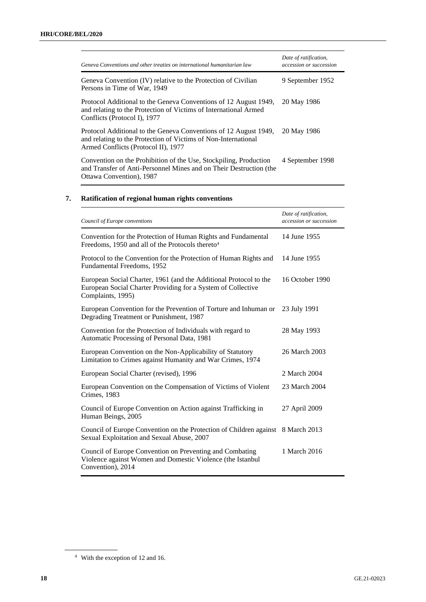| Geneva Conventions and other treaties on international humanitarian law                                                                                                   | Date of ratification,<br>accession or succession |
|---------------------------------------------------------------------------------------------------------------------------------------------------------------------------|--------------------------------------------------|
| Geneva Convention (IV) relative to the Protection of Civilian<br>Persons in Time of War, 1949                                                                             | 9 September 1952                                 |
| Protocol Additional to the Geneva Conventions of 12 August 1949,<br>and relating to the Protection of Victims of International Armed<br>Conflicts (Protocol I), 1977      | 20 May 1986                                      |
| Protocol Additional to the Geneva Conventions of 12 August 1949,<br>and relating to the Protection of Victims of Non-International<br>Armed Conflicts (Protocol II), 1977 | 20 May 1986                                      |
| Convention on the Prohibition of the Use, Stockpiling, Production<br>and Transfer of Anti-Personnel Mines and on Their Destruction (the<br>Ottawa Convention), 1987       | 4 September 1998                                 |

## **7. Ratification of regional human rights conventions**

| Council of Europe conventions                                                                                                                          | Date of ratification,<br>accession or succession |
|--------------------------------------------------------------------------------------------------------------------------------------------------------|--------------------------------------------------|
| Convention for the Protection of Human Rights and Fundamental<br>Freedoms, 1950 and all of the Protocols thereto <sup>4</sup>                          | 14 June 1955                                     |
| Protocol to the Convention for the Protection of Human Rights and<br>Fundamental Freedoms, 1952                                                        | 14 June 1955                                     |
| European Social Charter, 1961 (and the Additional Protocol to the<br>European Social Charter Providing for a System of Collective<br>Complaints, 1995) | 16 October 1990                                  |
| European Convention for the Prevention of Torture and Inhuman or<br>Degrading Treatment or Punishment, 1987                                            | 23 July 1991                                     |
| Convention for the Protection of Individuals with regard to<br>Automatic Processing of Personal Data, 1981                                             | 28 May 1993                                      |
| European Convention on the Non-Applicability of Statutory<br>Limitation to Crimes against Humanity and War Crimes, 1974                                | 26 March 2003                                    |
| European Social Charter (revised), 1996                                                                                                                | 2 March 2004                                     |
| European Convention on the Compensation of Victims of Violent<br>Crimes, 1983                                                                          | 23 March 2004                                    |
| Council of Europe Convention on Action against Trafficking in<br>Human Beings, 2005                                                                    | 27 April 2009                                    |
| Council of Europe Convention on the Protection of Children against 8 March 2013<br>Sexual Exploitation and Sexual Abuse, 2007                          |                                                  |
| Council of Europe Convention on Preventing and Combating<br>Violence against Women and Domestic Violence (the Istanbul<br>Convention), 2014            | 1 March 2016                                     |

<sup>4</sup> With the exception of 12 and 16.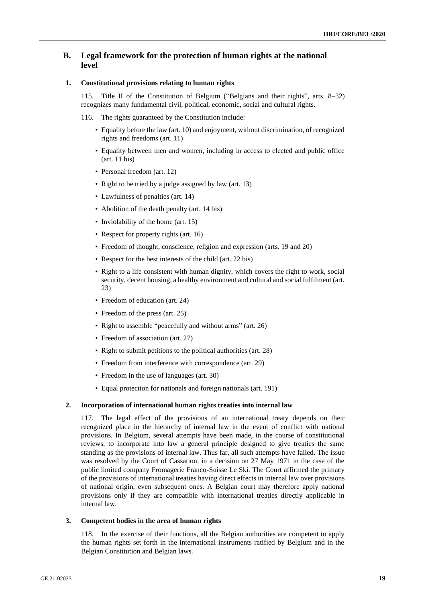## **B. Legal framework for the protection of human rights at the national level**

### **1. Constitutional provisions relating to human rights**

115. Title II of the Constitution of Belgium ("Belgians and their rights", arts. 8–32) recognizes many fundamental civil, political, economic, social and cultural rights.

- 116. The rights guaranteed by the Constitution include:
	- Equality before the law (art. 10) and enjoyment, without discrimination, of recognized rights and freedoms (art. 11)
	- Equality between men and women, including in access to elected and public office (art. 11 bis)
	- Personal freedom (art. 12)
	- Right to be tried by a judge assigned by law (art. 13)
	- Lawfulness of penalties (art. 14)
	- Abolition of the death penalty (art. 14 bis)
	- Inviolability of the home (art. 15)
	- Respect for property rights (art. 16)
	- Freedom of thought, conscience, religion and expression (arts. 19 and 20)
	- Respect for the best interests of the child (art. 22 bis)
	- Right to a life consistent with human dignity, which covers the right to work, social security, decent housing, a healthy environment and cultural and social fulfilment (art. 23)
	- Freedom of education (art. 24)
	- Freedom of the press (art. 25)
	- Right to assemble "peacefully and without arms" (art. 26)
	- Freedom of association (art. 27)
	- Right to submit petitions to the political authorities (art. 28)
	- Freedom from interference with correspondence (art. 29)
	- Freedom in the use of languages (art. 30)
	- Equal protection for nationals and foreign nationals (art. 191)

### **2. Incorporation of international human rights treaties into internal law**

117. The legal effect of the provisions of an international treaty depends on their recognized place in the hierarchy of internal law in the event of conflict with national provisions. In Belgium, several attempts have been made, in the course of constitutional reviews, to incorporate into law a general principle designed to give treaties the same standing as the provisions of internal law. Thus far, all such attempts have failed. The issue was resolved by the Court of Cassation, in a decision on 27 May 1971 in the case of the public limited company Fromagerie Franco-Suisse Le Ski. The Court affirmed the primacy of the provisions of international treaties having direct effects in internal law over provisions of national origin, even subsequent ones. A Belgian court may therefore apply national provisions only if they are compatible with international treaties directly applicable in internal law.

#### **3. Competent bodies in the area of human rights**

118. In the exercise of their functions, all the Belgian authorities are competent to apply the human rights set forth in the international instruments ratified by Belgium and in the Belgian Constitution and Belgian laws.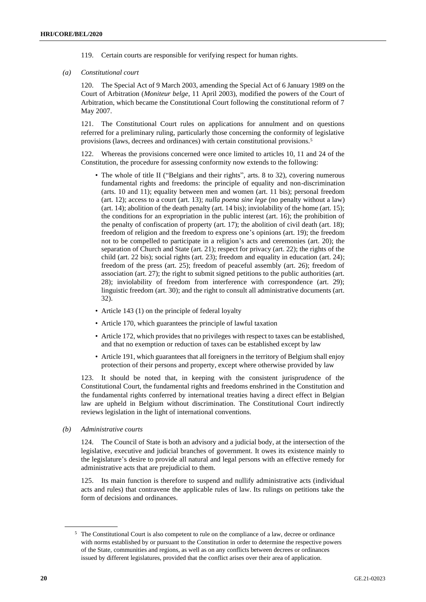- 119. Certain courts are responsible for verifying respect for human rights.
- *(a) Constitutional court*

120. The Special Act of 9 March 2003, amending the Special Act of 6 January 1989 on the Court of Arbitration (*Moniteur belge*, 11 April 2003), modified the powers of the Court of Arbitration, which became the Constitutional Court following the constitutional reform of 7 May 2007.

121. The Constitutional Court rules on applications for annulment and on questions referred for a preliminary ruling, particularly those concerning the conformity of legislative provisions (laws, decrees and ordinances) with certain constitutional provisions.<sup>5</sup>

122. Whereas the provisions concerned were once limited to articles 10, 11 and 24 of the Constitution, the procedure for assessing conformity now extends to the following:

- The whole of title II ("Belgians and their rights", arts. 8 to 32), covering numerous fundamental rights and freedoms: the principle of equality and non-discrimination (arts. 10 and 11); equality between men and women (art. 11 bis); personal freedom (art. 12); access to a court (art. 13); *nulla poena sine lege* (no penalty without a law) (art. 14); abolition of the death penalty (art. 14 bis); inviolability of the home (art. 15); the conditions for an expropriation in the public interest (art. 16); the prohibition of the penalty of confiscation of property (art. 17); the abolition of civil death (art. 18); freedom of religion and the freedom to express one's opinions (art. 19); the freedom not to be compelled to participate in a religion's acts and ceremonies (art. 20); the separation of Church and State (art. 21); respect for privacy (art. 22); the rights of the child (art. 22 bis); social rights (art. 23); freedom and equality in education (art. 24); freedom of the press (art. 25); freedom of peaceful assembly (art. 26); freedom of association (art. 27); the right to submit signed petitions to the public authorities (art. 28); inviolability of freedom from interference with correspondence (art. 29); linguistic freedom (art. 30); and the right to consult all administrative documents (art. 32).
- Article 143 (1) on the principle of federal loyalty
- Article 170, which guarantees the principle of lawful taxation
- Article 172, which provides that no privileges with respect to taxes can be established, and that no exemption or reduction of taxes can be established except by law
- Article 191, which guarantees that all foreigners in the territory of Belgium shall enjoy protection of their persons and property, except where otherwise provided by law

123. It should be noted that, in keeping with the consistent jurisprudence of the Constitutional Court, the fundamental rights and freedoms enshrined in the Constitution and the fundamental rights conferred by international treaties having a direct effect in Belgian law are upheld in Belgium without discrimination. The Constitutional Court indirectly reviews legislation in the light of international conventions.

*(b) Administrative courts*

124. The Council of State is both an advisory and a judicial body, at the intersection of the legislative, executive and judicial branches of government. It owes its existence mainly to the legislature's desire to provide all natural and legal persons with an effective remedy for administrative acts that are prejudicial to them.

125. Its main function is therefore to suspend and nullify administrative acts (individual acts and rules) that contravene the applicable rules of law. Its rulings on petitions take the form of decisions and ordinances.

<sup>5</sup> The Constitutional Court is also competent to rule on the compliance of a law, decree or ordinance with norms established by or pursuant to the Constitution in order to determine the respective powers of the State, communities and regions, as well as on any conflicts between decrees or ordinances issued by different legislatures, provided that the conflict arises over their area of application.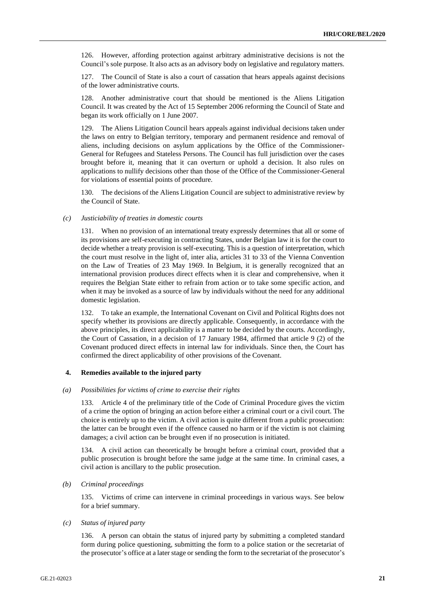126. However, affording protection against arbitrary administrative decisions is not the Council's sole purpose. It also acts as an advisory body on legislative and regulatory matters.

127. The Council of State is also a court of cassation that hears appeals against decisions of the lower administrative courts.

128. Another administrative court that should be mentioned is the Aliens Litigation Council. It was created by the Act of 15 September 2006 reforming the Council of State and began its work officially on 1 June 2007.

129. The Aliens Litigation Council hears appeals against individual decisions taken under the laws on entry to Belgian territory, temporary and permanent residence and removal of aliens, including decisions on asylum applications by the Office of the Commissioner-General for Refugees and Stateless Persons. The Council has full jurisdiction over the cases brought before it, meaning that it can overturn or uphold a decision. It also rules on applications to nullify decisions other than those of the Office of the Commissioner-General for violations of essential points of procedure.

130. The decisions of the Aliens Litigation Council are subject to administrative review by the Council of State.

#### *(c) Justiciability of treaties in domestic courts*

131. When no provision of an international treaty expressly determines that all or some of its provisions are self-executing in contracting States, under Belgian law it is for the court to decide whether a treaty provision is self-executing. This is a question of interpretation, which the court must resolve in the light of, inter alia, articles 31 to 33 of the Vienna Convention on the Law of Treaties of 23 May 1969. In Belgium, it is generally recognized that an international provision produces direct effects when it is clear and comprehensive, when it requires the Belgian State either to refrain from action or to take some specific action, and when it may be invoked as a source of law by individuals without the need for any additional domestic legislation.

132. To take an example, the International Covenant on Civil and Political Rights does not specify whether its provisions are directly applicable. Consequently, in accordance with the above principles, its direct applicability is a matter to be decided by the courts. Accordingly, the Court of Cassation, in a decision of 17 January 1984, affirmed that article 9 (2) of the Covenant produced direct effects in internal law for individuals. Since then, the Court has confirmed the direct applicability of other provisions of the Covenant.

#### **4. Remedies available to the injured party**

#### *(a) Possibilities for victims of crime to exercise their rights*

133. Article 4 of the preliminary title of the Code of Criminal Procedure gives the victim of a crime the option of bringing an action before either a criminal court or a civil court. The choice is entirely up to the victim. A civil action is quite different from a public prosecution: the latter can be brought even if the offence caused no harm or if the victim is not claiming damages; a civil action can be brought even if no prosecution is initiated.

134. A civil action can theoretically be brought before a criminal court, provided that a public prosecution is brought before the same judge at the same time. In criminal cases, a civil action is ancillary to the public prosecution.

#### *(b) Criminal proceedings*

135. Victims of crime can intervene in criminal proceedings in various ways. See below for a brief summary.

#### *(c) Status of injured party*

136. A person can obtain the status of injured party by submitting a completed standard form during police questioning, submitting the form to a police station or the secretariat of the prosecutor's office at a later stage or sending the form to the secretariat of the prosecutor's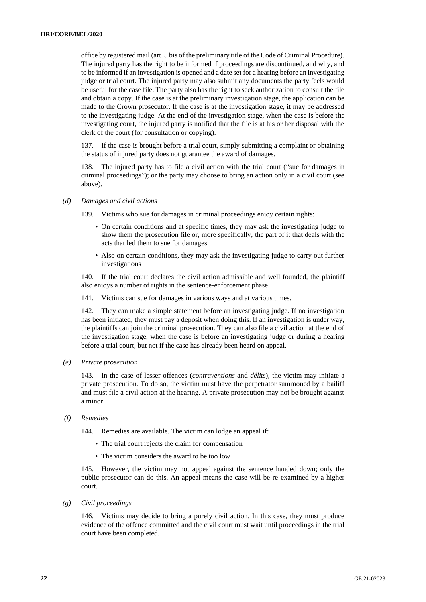office by registered mail (art. 5 bis of the preliminary title of the Code of Criminal Procedure). The injured party has the right to be informed if proceedings are discontinued, and why, and to be informed if an investigation is opened and a date set for a hearing before an investigating judge or trial court. The injured party may also submit any documents the party feels would be useful for the case file. The party also has the right to seek authorization to consult the file and obtain a copy. If the case is at the preliminary investigation stage, the application can be made to the Crown prosecutor. If the case is at the investigation stage, it may be addressed to the investigating judge. At the end of the investigation stage, when the case is before the investigating court, the injured party is notified that the file is at his or her disposal with the clerk of the court (for consultation or copying).

137. If the case is brought before a trial court, simply submitting a complaint or obtaining the status of injured party does not guarantee the award of damages.

138. The injured party has to file a civil action with the trial court ("sue for damages in criminal proceedings"); or the party may choose to bring an action only in a civil court (see above).

#### *(d) Damages and civil actions*

139. Victims who sue for damages in criminal proceedings enjoy certain rights:

- On certain conditions and at specific times, they may ask the investigating judge to show them the prosecution file or, more specifically, the part of it that deals with the acts that led them to sue for damages
- Also on certain conditions, they may ask the investigating judge to carry out further investigations

140. If the trial court declares the civil action admissible and well founded, the plaintiff also enjoys a number of rights in the sentence-enforcement phase.

141. Victims can sue for damages in various ways and at various times.

142. They can make a simple statement before an investigating judge. If no investigation has been initiated, they must pay a deposit when doing this. If an investigation is under way, the plaintiffs can join the criminal prosecution. They can also file a civil action at the end of the investigation stage, when the case is before an investigating judge or during a hearing before a trial court, but not if the case has already been heard on appeal.

*(e) Private prosecution*

143. In the case of lesser offences (*contraventions* and *délits*), the victim may initiate a private prosecution. To do so, the victim must have the perpetrator summoned by a bailiff and must file a civil action at the hearing. A private prosecution may not be brought against a minor.

### *(f) Remedies*

144. Remedies are available. The victim can lodge an appeal if:

- The trial court rejects the claim for compensation
- The victim considers the award to be too low

145. However, the victim may not appeal against the sentence handed down; only the public prosecutor can do this. An appeal means the case will be re-examined by a higher court.

*(g) Civil proceedings*

146. Victims may decide to bring a purely civil action. In this case, they must produce evidence of the offence committed and the civil court must wait until proceedings in the trial court have been completed.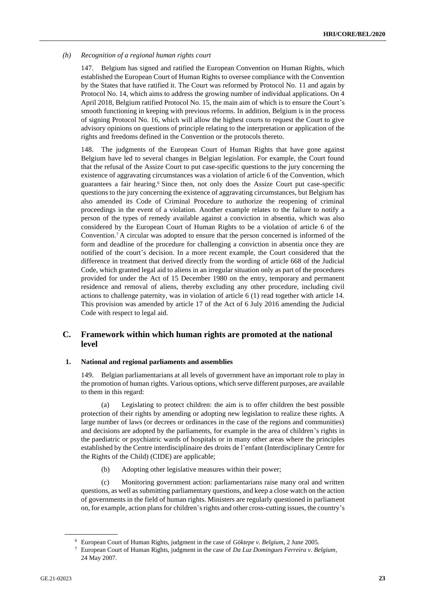#### *(h) Recognition of a regional human rights court*

147. Belgium has signed and ratified the European Convention on Human Rights, which established the European Court of Human Rights to oversee compliance with the Convention by the States that have ratified it. The Court was reformed by Protocol No. 11 and again by Protocol No. 14, which aims to address the growing number of individual applications. On 4 April 2018, Belgium ratified Protocol No. 15, the main aim of which is to ensure the Court's smooth functioning in keeping with previous reforms. In addition, Belgium is in the process of signing Protocol No. 16, which will allow the highest courts to request the Court to give advisory opinions on questions of principle relating to the interpretation or application of the rights and freedoms defined in the Convention or the protocols thereto.

148. The judgments of the European Court of Human Rights that have gone against Belgium have led to several changes in Belgian legislation. For example, the Court found that the refusal of the Assize Court to put case-specific questions to the jury concerning the existence of aggravating circumstances was a violation of article 6 of the Convention, which guarantees a fair hearing.<sup>6</sup> Since then, not only does the Assize Court put case-specific questions to the jury concerning the existence of aggravating circumstances, but Belgium has also amended its Code of Criminal Procedure to authorize the reopening of criminal proceedings in the event of a violation. Another example relates to the failure to notify a person of the types of remedy available against a conviction in absentia, which was also considered by the European Court of Human Rights to be a violation of article 6 of the Convention.<sup>7</sup> A circular was adopted to ensure that the person concerned is informed of the form and deadline of the procedure for challenging a conviction in absentia once they are notified of the court's decision. In a more recent example, the Court considered that the difference in treatment that derived directly from the wording of article 668 of the Judicial Code, which granted legal aid to aliens in an irregular situation only as part of the procedures provided for under the Act of 15 December 1980 on the entry, temporary and permanent residence and removal of aliens, thereby excluding any other procedure, including civil actions to challenge paternity, was in violation of article 6 (1) read together with article 14. This provision was amended by article 17 of the Act of 6 July 2016 amending the Judicial Code with respect to legal aid.

## **C. Framework within which human rights are promoted at the national level**

#### **1. National and regional parliaments and assemblies**

149. Belgian parliamentarians at all levels of government have an important role to play in the promotion of human rights. Various options, which serve different purposes, are available to them in this regard:

(a) Legislating to protect children: the aim is to offer children the best possible protection of their rights by amending or adopting new legislation to realize these rights. A large number of laws (or decrees or ordinances in the case of the regions and communities) and decisions are adopted by the parliaments, for example in the area of children's rights in the paediatric or psychiatric wards of hospitals or in many other areas where the principles established by the Centre interdisciplinaire des droits de l'enfant (Interdisciplinary Centre for the Rights of the Child) (CIDE) are applicable;

(b) Adopting other legislative measures within their power;

(c) Monitoring government action: parliamentarians raise many oral and written questions, as well as submitting parliamentary questions, and keep a close watch on the action of governments in the field of human rights. Ministers are regularly questioned in parliament on, for example, action plans for children's rights and other cross-cutting issues, the country's

<sup>6</sup> European Court of Human Rights, judgment in the case of *Göktepe v. Belgium*, 2 June 2005.

<sup>7</sup> European Court of Human Rights, judgment in the case of *Da Luz Domingues Ferreira v. Belgium*, 24 May 2007.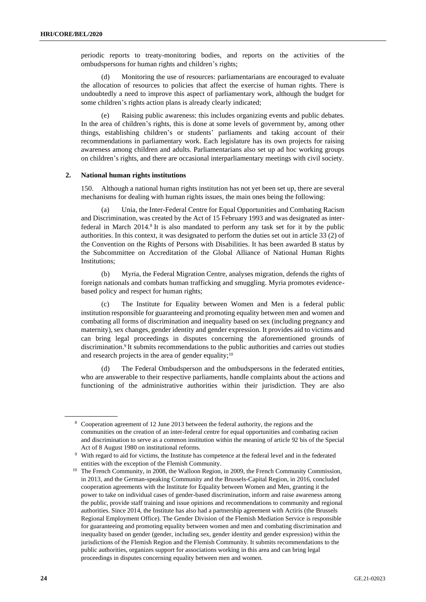periodic reports to treaty-monitoring bodies, and reports on the activities of the ombudspersons for human rights and children's rights;

(d) Monitoring the use of resources: parliamentarians are encouraged to evaluate the allocation of resources to policies that affect the exercise of human rights. There is undoubtedly a need to improve this aspect of parliamentary work, although the budget for some children's rights action plans is already clearly indicated;

(e) Raising public awareness: this includes organizing events and public debates. In the area of children's rights, this is done at some levels of government by, among other things, establishing children's or students' parliaments and taking account of their recommendations in parliamentary work. Each legislature has its own projects for raising awareness among children and adults. Parliamentarians also set up ad hoc working groups on children's rights, and there are occasional interparliamentary meetings with civil society.

#### **2. National human rights institutions**

150. Although a national human rights institution has not yet been set up, there are several mechanisms for dealing with human rights issues, the main ones being the following:

(a) Unia, the Inter-Federal Centre for Equal Opportunities and Combating Racism and Discrimination, was created by the Act of 15 February 1993 and was designated as interfederal in March 2014.<sup>8</sup> It is also mandated to perform any task set for it by the public authorities. In this context, it was designated to perform the duties set out in article 33 (2) of the Convention on the Rights of Persons with Disabilities. It has been awarded B status by the Subcommittee on Accreditation of the Global Alliance of National Human Rights Institutions;

(b) Myria, the Federal Migration Centre, analyses migration, defends the rights of foreign nationals and combats human trafficking and smuggling. Myria promotes evidencebased policy and respect for human rights;

(c) The Institute for Equality between Women and Men is a federal public institution responsible for guaranteeing and promoting equality between men and women and combating all forms of discrimination and inequality based on sex (including pregnancy and maternity), sex changes, gender identity and gender expression. It provides aid to victims and can bring legal proceedings in disputes concerning the aforementioned grounds of discrimination.<sup>9</sup> It submits recommendations to the public authorities and carries out studies and research projects in the area of gender equality;<sup>10</sup>

The Federal Ombudsperson and the ombudspersons in the federated entities, who are answerable to their respective parliaments, handle complaints about the actions and functioning of the administrative authorities within their jurisdiction. They are also

<sup>8</sup> Cooperation agreement of 12 June 2013 between the federal authority, the regions and the communities on the creation of an inter-federal centre for equal opportunities and combating racism and discrimination to serve as a common institution within the meaning of article 92 bis of the Special Act of 8 August 1980 on institutional reforms.

<sup>9</sup> With regard to aid for victims, the Institute has competence at the federal level and in the federated entities with the exception of the Flemish Community.

<sup>&</sup>lt;sup>10</sup> The French Community, in 2008, the Walloon Region, in 2009, the French Community Commission, in 2013, and the German-speaking Community and the Brussels-Capital Region, in 2016, concluded cooperation agreements with the Institute for Equality between Women and Men, granting it the power to take on individual cases of gender-based discrimination, inform and raise awareness among the public, provide staff training and issue opinions and recommendations to community and regional authorities. Since 2014, the Institute has also had a partnership agreement with Actiris (the Brussels Regional Employment Office). The Gender Division of the Flemish Mediation Service is responsible for guaranteeing and promoting equality between women and men and combating discrimination and inequality based on gender (gender, including sex, gender identity and gender expression) within the jurisdictions of the Flemish Region and the Flemish Community. It submits recommendations to the public authorities, organizes support for associations working in this area and can bring legal proceedings in disputes concerning equality between men and women.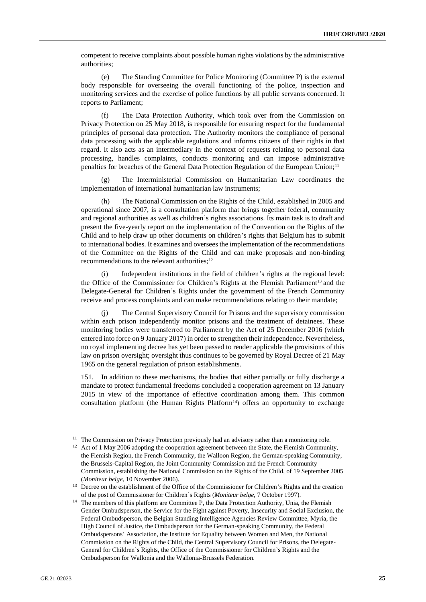competent to receive complaints about possible human rights violations by the administrative authorities;

(e) The Standing Committee for Police Monitoring (Committee P) is the external body responsible for overseeing the overall functioning of the police, inspection and monitoring services and the exercise of police functions by all public servants concerned. It reports to Parliament;

(f) The Data Protection Authority, which took over from the Commission on Privacy Protection on 25 May 2018, is responsible for ensuring respect for the fundamental principles of personal data protection. The Authority monitors the compliance of personal data processing with the applicable regulations and informs citizens of their rights in that regard. It also acts as an intermediary in the context of requests relating to personal data processing, handles complaints, conducts monitoring and can impose administrative penalties for breaches of the General Data Protection Regulation of the European Union;<sup>11</sup>

(g) The Interministerial Commission on Humanitarian Law coordinates the implementation of international humanitarian law instruments;

(h) The National Commission on the Rights of the Child, established in 2005 and operational since 2007, is a consultation platform that brings together federal, community and regional authorities as well as children's rights associations. Its main task is to draft and present the five-yearly report on the implementation of the Convention on the Rights of the Child and to help draw up other documents on children's rights that Belgium has to submit to international bodies. It examines and oversees the implementation of the recommendations of the Committee on the Rights of the Child and can make proposals and non-binding recommendations to the relevant authorities;<sup>12</sup>

(i) Independent institutions in the field of children's rights at the regional level: the Office of the Commissioner for Children's Rights at the Flemish Parliament<sup>13</sup> and the Delegate-General for Children's Rights under the government of the French Community receive and process complaints and can make recommendations relating to their mandate;

(j) The Central Supervisory Council for Prisons and the supervisory commission within each prison independently monitor prisons and the treatment of detainees. These monitoring bodies were transferred to Parliament by the Act of 25 December 2016 (which entered into force on 9 January 2017) in order to strengthen their independence. Nevertheless, no royal implementing decree has yet been passed to render applicable the provisions of this law on prison oversight; oversight thus continues to be governed by Royal Decree of 21 May 1965 on the general regulation of prison establishments.

151. In addition to these mechanisms, the bodies that either partially or fully discharge a mandate to protect fundamental freedoms concluded a cooperation agreement on 13 January 2015 in view of the importance of effective coordination among them. This common consultation platform (the Human Rights Platform $14$ ) offers an opportunity to exchange

<sup>&</sup>lt;sup>11</sup> The Commission on Privacy Protection previously had an advisory rather than a monitoring role.

<sup>&</sup>lt;sup>12</sup> Act of 1 May 2006 adopting the cooperation agreement between the State, the Flemish Community, the Flemish Region, the French Community, the Walloon Region, the German-speaking Community, the Brussels-Capital Region, the Joint Community Commission and the French Community Commission, establishing the National Commission on the Rights of the Child, of 19 September 2005 (*Moniteur belge*, 10 November 2006).

<sup>&</sup>lt;sup>13</sup> Decree on the establishment of the Office of the Commissioner for Children's Rights and the creation of the post of Commissioner for Children's Rights (*Moniteur belge*, 7 October 1997).

<sup>&</sup>lt;sup>14</sup> The members of this platform are Committee P, the Data Protection Authority, Unia, the Flemish Gender Ombudsperson, the Service for the Fight against Poverty, Insecurity and Social Exclusion, the Federal Ombudsperson, the Belgian Standing Intelligence Agencies Review Committee, Myria, the High Council of Justice, the Ombudsperson for the German-speaking Community, the Federal Ombudspersons' Association, the Institute for Equality between Women and Men, the National Commission on the Rights of the Child, the Central Supervisory Council for Prisons, the Delegate-General for Children's Rights, the Office of the Commissioner for Children's Rights and the Ombudsperson for Wallonia and the Wallonia-Brussels Federation.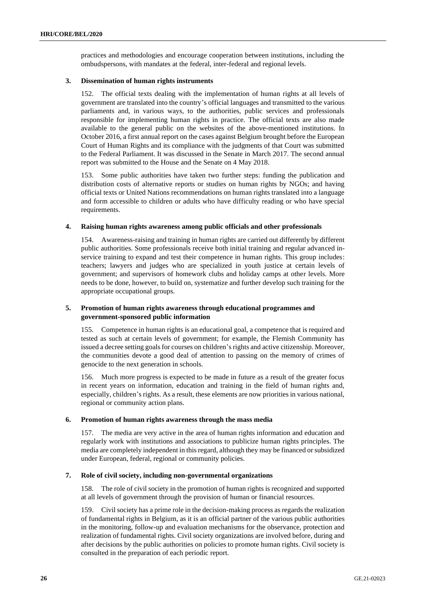practices and methodologies and encourage cooperation between institutions, including the ombudspersons, with mandates at the federal, inter-federal and regional levels.

#### **3. Dissemination of human rights instruments**

152. The official texts dealing with the implementation of human rights at all levels of government are translated into the country's official languages and transmitted to the various parliaments and, in various ways, to the authorities, public services and professionals responsible for implementing human rights in practice. The official texts are also made available to the general public on the websites of the above-mentioned institutions. In October 2016, a first annual report on the cases against Belgium brought before the European Court of Human Rights and its compliance with the judgments of that Court was submitted to the Federal Parliament. It was discussed in the Senate in March 2017. The second annual report was submitted to the House and the Senate on 4 May 2018.

153. Some public authorities have taken two further steps: funding the publication and distribution costs of alternative reports or studies on human rights by NGOs; and having official texts or United Nations recommendations on human rights translated into a language and form accessible to children or adults who have difficulty reading or who have special requirements.

#### **4. Raising human rights awareness among public officials and other professionals**

154. Awareness-raising and training in human rights are carried out differently by different public authorities. Some professionals receive both initial training and regular advanced inservice training to expand and test their competence in human rights. This group includes: teachers; lawyers and judges who are specialized in youth justice at certain levels of government; and supervisors of homework clubs and holiday camps at other levels. More needs to be done, however, to build on, systematize and further develop such training for the appropriate occupational groups.

### **5. Promotion of human rights awareness through educational programmes and government-sponsored public information**

155. Competence in human rights is an educational goal, a competence that is required and tested as such at certain levels of government; for example, the Flemish Community has issued a decree setting goals for courses on children's rights and active citizenship. Moreover, the communities devote a good deal of attention to passing on the memory of crimes of genocide to the next generation in schools.

156. Much more progress is expected to be made in future as a result of the greater focus in recent years on information, education and training in the field of human rights and, especially, children's rights. As a result, these elements are now priorities in various national, regional or community action plans.

#### **6. Promotion of human rights awareness through the mass media**

157. The media are very active in the area of human rights information and education and regularly work with institutions and associations to publicize human rights principles. The media are completely independent in this regard, although they may be financed or subsidized under European, federal, regional or community policies.

#### **7. Role of civil society, including non-governmental organizations**

158. The role of civil society in the promotion of human rights is recognized and supported at all levels of government through the provision of human or financial resources.

159. Civil society has a prime role in the decision-making process as regards the realization of fundamental rights in Belgium, as it is an official partner of the various public authorities in the monitoring, follow-up and evaluation mechanisms for the observance, protection and realization of fundamental rights. Civil society organizations are involved before, during and after decisions by the public authorities on policies to promote human rights. Civil society is consulted in the preparation of each periodic report.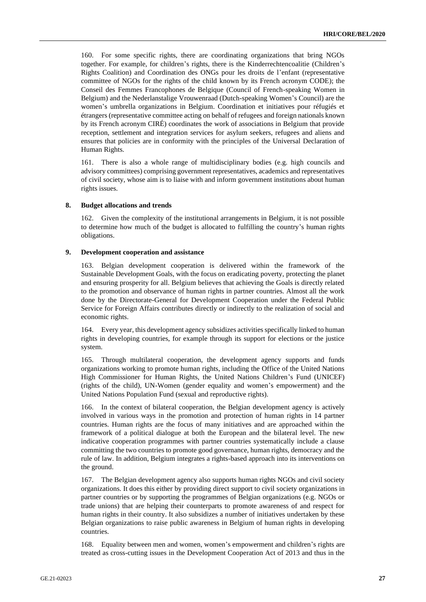160. For some specific rights, there are coordinating organizations that bring NGOs together. For example, for children's rights, there is the Kinderrechtencoalitie (Children's Rights Coalition) and Coordination des ONGs pour les droits de l'enfant (representative committee of NGOs for the rights of the child known by its French acronym CODE); the Conseil des Femmes Francophones de Belgique (Council of French-speaking Women in Belgium) and the Nederlanstalige Vrouwenraad (Dutch-speaking Women's Council) are the women's umbrella organizations in Belgium. Coordination et initiatives pour réfugiés et étrangers (representative committee acting on behalf of refugees and foreign nationals known by its French acronym CIRÉ) coordinates the work of associations in Belgium that provide reception, settlement and integration services for asylum seekers, refugees and aliens and ensures that policies are in conformity with the principles of the Universal Declaration of Human Rights.

161. There is also a whole range of multidisciplinary bodies (e.g. high councils and advisory committees) comprising government representatives, academics and representatives of civil society, whose aim is to liaise with and inform government institutions about human rights issues.

#### **8. Budget allocations and trends**

162. Given the complexity of the institutional arrangements in Belgium, it is not possible to determine how much of the budget is allocated to fulfilling the country's human rights obligations.

#### **9. Development cooperation and assistance**

163. Belgian development cooperation is delivered within the framework of the Sustainable Development Goals, with the focus on eradicating poverty, protecting the planet and ensuring prosperity for all. Belgium believes that achieving the Goals is directly related to the promotion and observance of human rights in partner countries. Almost all the work done by the Directorate-General for Development Cooperation under the Federal Public Service for Foreign Affairs contributes directly or indirectly to the realization of social and economic rights.

164. Every year, this development agency subsidizes activities specifically linked to human rights in developing countries, for example through its support for elections or the justice system.

165. Through multilateral cooperation, the development agency supports and funds organizations working to promote human rights, including the Office of the United Nations High Commissioner for Human Rights, the United Nations Children's Fund (UNICEF) (rights of the child), UN-Women (gender equality and women's empowerment) and the United Nations Population Fund (sexual and reproductive rights).

166. In the context of bilateral cooperation, the Belgian development agency is actively involved in various ways in the promotion and protection of human rights in 14 partner countries. Human rights are the focus of many initiatives and are approached within the framework of a political dialogue at both the European and the bilateral level. The new indicative cooperation programmes with partner countries systematically include a clause committing the two countries to promote good governance, human rights, democracy and the rule of law. In addition, Belgium integrates a rights-based approach into its interventions on the ground.

167. The Belgian development agency also supports human rights NGOs and civil society organizations. It does this either by providing direct support to civil society organizations in partner countries or by supporting the programmes of Belgian organizations (e.g. NGOs or trade unions) that are helping their counterparts to promote awareness of and respect for human rights in their country. It also subsidizes a number of initiatives undertaken by these Belgian organizations to raise public awareness in Belgium of human rights in developing countries.

168. Equality between men and women, women's empowerment and children's rights are treated as cross-cutting issues in the Development Cooperation Act of 2013 and thus in the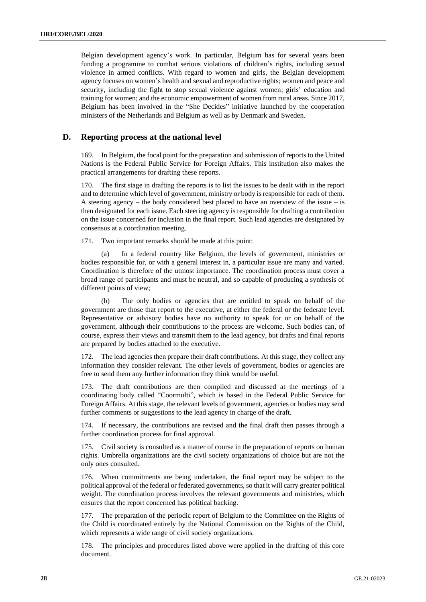Belgian development agency's work. In particular, Belgium has for several years been funding a programme to combat serious violations of children's rights, including sexual violence in armed conflicts. With regard to women and girls, the Belgian development agency focuses on women's health and sexual and reproductive rights; women and peace and security, including the fight to stop sexual violence against women; girls' education and training for women; and the economic empowerment of women from rural areas. Since 2017, Belgium has been involved in the "She Decides" initiative launched by the cooperation ministers of the Netherlands and Belgium as well as by Denmark and Sweden.

## **D. Reporting process at the national level**

169. In Belgium, the focal point for the preparation and submission of reports to the United Nations is the Federal Public Service for Foreign Affairs. This institution also makes the practical arrangements for drafting these reports.

170. The first stage in drafting the reports is to list the issues to be dealt with in the report and to determine which level of government, ministry or body is responsible for each of them. A steering agency – the body considered best placed to have an overview of the issue – is then designated for each issue. Each steering agency is responsible for drafting a contribution on the issue concerned for inclusion in the final report. Such lead agencies are designated by consensus at a coordination meeting.

171. Two important remarks should be made at this point:

(a) In a federal country like Belgium, the levels of government, ministries or bodies responsible for, or with a general interest in, a particular issue are many and varied. Coordination is therefore of the utmost importance. The coordination process must cover a broad range of participants and must be neutral, and so capable of producing a synthesis of different points of view;

(b) The only bodies or agencies that are entitled to speak on behalf of the government are those that report to the executive, at either the federal or the federate level. Representative or advisory bodies have no authority to speak for or on behalf of the government, although their contributions to the process are welcome. Such bodies can, of course, express their views and transmit them to the lead agency, but drafts and final reports are prepared by bodies attached to the executive.

172. The lead agencies then prepare their draft contributions. At this stage, they collect any information they consider relevant. The other levels of government, bodies or agencies are free to send them any further information they think would be useful.

173. The draft contributions are then compiled and discussed at the meetings of a coordinating body called "Coormulti", which is based in the Federal Public Service for Foreign Affairs. At this stage, the relevant levels of government, agencies or bodies may send further comments or suggestions to the lead agency in charge of the draft.

174. If necessary, the contributions are revised and the final draft then passes through a further coordination process for final approval.

175. Civil society is consulted as a matter of course in the preparation of reports on human rights. Umbrella organizations are the civil society organizations of choice but are not the only ones consulted.

176. When commitments are being undertaken, the final report may be subject to the political approval of the federal or federated governments, so that it will carry greater political weight. The coordination process involves the relevant governments and ministries, which ensures that the report concerned has political backing.

177. The preparation of the periodic report of Belgium to the Committee on the Rights of the Child is coordinated entirely by the National Commission on the Rights of the Child, which represents a wide range of civil society organizations.

178. The principles and procedures listed above were applied in the drafting of this core document.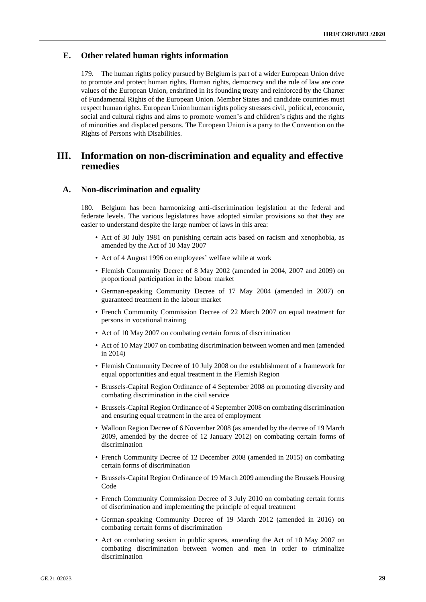### **E. Other related human rights information**

179. The human rights policy pursued by Belgium is part of a wider European Union drive to promote and protect human rights. Human rights, democracy and the rule of law are core values of the European Union, enshrined in its founding treaty and reinforced by the Charter of Fundamental Rights of the European Union. Member States and candidate countries must respect human rights. European Union human rights policy stresses civil, political, economic, social and cultural rights and aims to promote women's and children's rights and the rights of minorities and displaced persons. The European Union is a party to the Convention on the Rights of Persons with Disabilities.

## **III. Information on non-discrimination and equality and effective remedies**

#### **A. Non-discrimination and equality**

180. Belgium has been harmonizing anti-discrimination legislation at the federal and federate levels. The various legislatures have adopted similar provisions so that they are easier to understand despite the large number of laws in this area:

- Act of 30 July 1981 on punishing certain acts based on racism and xenophobia, as amended by the Act of 10 May 2007
- Act of 4 August 1996 on employees' welfare while at work
- Flemish Community Decree of 8 May 2002 (amended in 2004, 2007 and 2009) on proportional participation in the labour market
- German-speaking Community Decree of 17 May 2004 (amended in 2007) on guaranteed treatment in the labour market
- French Community Commission Decree of 22 March 2007 on equal treatment for persons in vocational training
- Act of 10 May 2007 on combating certain forms of discrimination
- Act of 10 May 2007 on combating discrimination between women and men (amended in 2014)
- Flemish Community Decree of 10 July 2008 on the establishment of a framework for equal opportunities and equal treatment in the Flemish Region
- Brussels-Capital Region Ordinance of 4 September 2008 on promoting diversity and combating discrimination in the civil service
- Brussels-Capital Region Ordinance of 4 September 2008 on combating discrimination and ensuring equal treatment in the area of employment
- Walloon Region Decree of 6 November 2008 (as amended by the decree of 19 March 2009, amended by the decree of 12 January 2012) on combating certain forms of discrimination
- French Community Decree of 12 December 2008 (amended in 2015) on combating certain forms of discrimination
- Brussels-Capital Region Ordinance of 19 March 2009 amending the Brussels Housing Code
- French Community Commission Decree of 3 July 2010 on combating certain forms of discrimination and implementing the principle of equal treatment
- German-speaking Community Decree of 19 March 2012 (amended in 2016) on combating certain forms of discrimination
- Act on combating sexism in public spaces, amending the Act of 10 May 2007 on combating discrimination between women and men in order to criminalize discrimination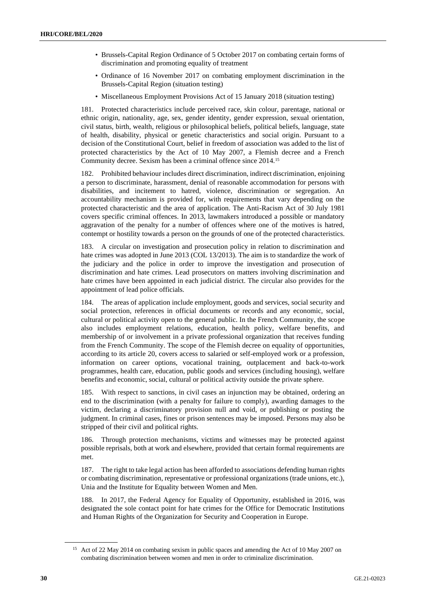- Brussels-Capital Region Ordinance of 5 October 2017 on combating certain forms of discrimination and promoting equality of treatment
- Ordinance of 16 November 2017 on combating employment discrimination in the Brussels-Capital Region (situation testing)
- Miscellaneous Employment Provisions Act of 15 January 2018 (situation testing)

181. Protected characteristics include perceived race, skin colour, parentage, national or ethnic origin, nationality, age, sex, gender identity, gender expression, sexual orientation, civil status, birth, wealth, religious or philosophical beliefs, political beliefs, language, state of health, disability, physical or genetic characteristics and social origin. Pursuant to a decision of the Constitutional Court, belief in freedom of association was added to the list of protected characteristics by the Act of 10 May 2007, a Flemish decree and a French Community decree. Sexism has been a criminal offence since 2014.<sup>15</sup>

182. Prohibited behaviour includes direct discrimination, indirect discrimination, enjoining a person to discriminate, harassment, denial of reasonable accommodation for persons with disabilities, and incitement to hatred, violence, discrimination or segregation. An accountability mechanism is provided for, with requirements that vary depending on the protected characteristic and the area of application. The Anti-Racism Act of 30 July 1981 covers specific criminal offences. In 2013, lawmakers introduced a possible or mandatory aggravation of the penalty for a number of offences where one of the motives is hatred, contempt or hostility towards a person on the grounds of one of the protected characteristics.

183. A circular on investigation and prosecution policy in relation to discrimination and hate crimes was adopted in June 2013 (COL 13/2013). The aim is to standardize the work of the judiciary and the police in order to improve the investigation and prosecution of discrimination and hate crimes. Lead prosecutors on matters involving discrimination and hate crimes have been appointed in each judicial district. The circular also provides for the appointment of lead police officials.

184. The areas of application include employment, goods and services, social security and social protection, references in official documents or records and any economic, social, cultural or political activity open to the general public. In the French Community, the scope also includes employment relations, education, health policy, welfare benefits, and membership of or involvement in a private professional organization that receives funding from the French Community. The scope of the Flemish decree on equality of opportunities, according to its article 20, covers access to salaried or self-employed work or a profession, information on career options, vocational training, outplacement and back-to-work programmes, health care, education, public goods and services (including housing), welfare benefits and economic, social, cultural or political activity outside the private sphere.

185. With respect to sanctions, in civil cases an injunction may be obtained, ordering an end to the discrimination (with a penalty for failure to comply), awarding damages to the victim, declaring a discriminatory provision null and void, or publishing or posting the judgment. In criminal cases, fines or prison sentences may be imposed. Persons may also be stripped of their civil and political rights.

186. Through protection mechanisms, victims and witnesses may be protected against possible reprisals, both at work and elsewhere, provided that certain formal requirements are met.

187. The right to take legal action has been afforded to associations defending human rights or combating discrimination, representative or professional organizations (trade unions, etc.), Unia and the Institute for Equality between Women and Men.

188. In 2017, the Federal Agency for Equality of Opportunity, established in 2016, was designated the sole contact point for hate crimes for the Office for Democratic Institutions and Human Rights of the Organization for Security and Cooperation in Europe.

<sup>&</sup>lt;sup>15</sup> Act of 22 May 2014 on combating sexism in public spaces and amending the Act of 10 May 2007 on combating discrimination between women and men in order to criminalize discrimination.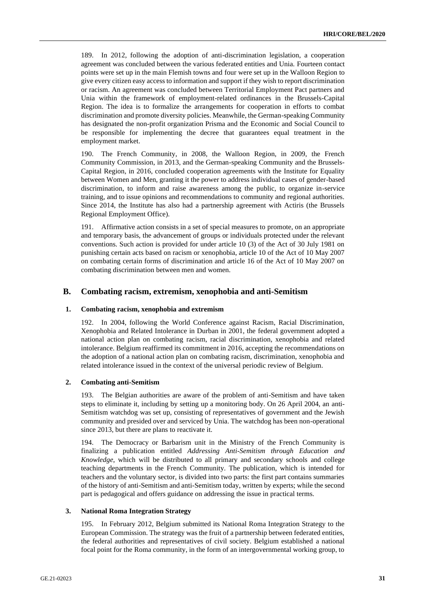189. In 2012, following the adoption of anti-discrimination legislation, a cooperation agreement was concluded between the various federated entities and Unia. Fourteen contact points were set up in the main Flemish towns and four were set up in the Walloon Region to give every citizen easy access to information and support if they wish to report discrimination or racism. An agreement was concluded between Territorial Employment Pact partners and Unia within the framework of employment-related ordinances in the Brussels-Capital Region. The idea is to formalize the arrangements for cooperation in efforts to combat discrimination and promote diversity policies. Meanwhile, the German-speaking Community has designated the non-profit organization Prisma and the Economic and Social Council to be responsible for implementing the decree that guarantees equal treatment in the employment market.

190. The French Community, in 2008, the Walloon Region, in 2009, the French Community Commission, in 2013, and the German-speaking Community and the Brussels-Capital Region, in 2016, concluded cooperation agreements with the Institute for Equality between Women and Men, granting it the power to address individual cases of gender-based discrimination, to inform and raise awareness among the public, to organize in-service training, and to issue opinions and recommendations to community and regional authorities. Since 2014, the Institute has also had a partnership agreement with Actiris (the Brussels Regional Employment Office).

191. Affirmative action consists in a set of special measures to promote, on an appropriate and temporary basis, the advancement of groups or individuals protected under the relevant conventions. Such action is provided for under article 10 (3) of the Act of 30 July 1981 on punishing certain acts based on racism or xenophobia, article 10 of the Act of 10 May 2007 on combating certain forms of discrimination and article 16 of the Act of 10 May 2007 on combating discrimination between men and women.

## **B. Combating racism, extremism, xenophobia and anti-Semitism**

#### **1. Combating racism, xenophobia and extremism**

192. In 2004, following the World Conference against Racism, Racial Discrimination, Xenophobia and Related Intolerance in Durban in 2001, the federal government adopted a national action plan on combating racism, racial discrimination, xenophobia and related intolerance. Belgium reaffirmed its commitment in 2016, accepting the recommendations on the adoption of a national action plan on combating racism, discrimination, xenophobia and related intolerance issued in the context of the universal periodic review of Belgium.

#### **2. Combating anti-Semitism**

193. The Belgian authorities are aware of the problem of anti-Semitism and have taken steps to eliminate it, including by setting up a monitoring body. On 26 April 2004, an anti-Semitism watchdog was set up, consisting of representatives of government and the Jewish community and presided over and serviced by Unia. The watchdog has been non-operational since 2013, but there are plans to reactivate it.

194. The Democracy or Barbarism unit in the Ministry of the French Community is finalizing a publication entitled *Addressing Anti-Semitism through Education and Knowledge*, which will be distributed to all primary and secondary schools and college teaching departments in the French Community. The publication, which is intended for teachers and the voluntary sector, is divided into two parts: the first part contains summaries of the history of anti-Semitism and anti-Semitism today, written by experts; while the second part is pedagogical and offers guidance on addressing the issue in practical terms.

#### **3. National Roma Integration Strategy**

195. In February 2012, Belgium submitted its National Roma Integration Strategy to the European Commission. The strategy was the fruit of a partnership between federated entities, the federal authorities and representatives of civil society. Belgium established a national focal point for the Roma community, in the form of an intergovernmental working group, to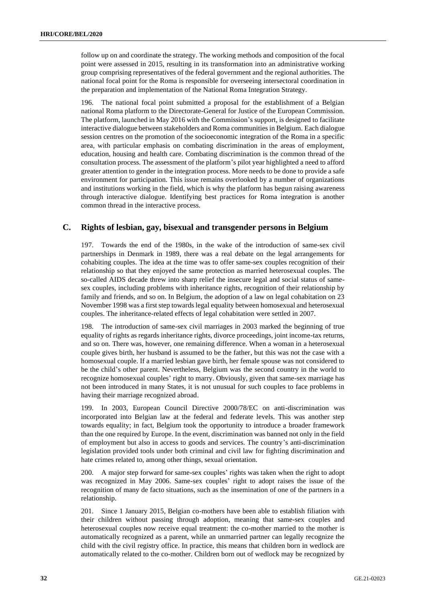follow up on and coordinate the strategy. The working methods and composition of the focal point were assessed in 2015, resulting in its transformation into an administrative working group comprising representatives of the federal government and the regional authorities. The national focal point for the Roma is responsible for overseeing intersectoral coordination in the preparation and implementation of the National Roma Integration Strategy.

196. The national focal point submitted a proposal for the establishment of a Belgian national Roma platform to the Directorate-General for Justice of the European Commission. The platform, launched in May 2016 with the Commission's support, is designed to facilitate interactive dialogue between stakeholders and Roma communities in Belgium. Each dialogue session centres on the promotion of the socioeconomic integration of the Roma in a specific area, with particular emphasis on combating discrimination in the areas of employment, education, housing and health care. Combating discrimination is the common thread of the consultation process. The assessment of the platform's pilot year highlighted a need to afford greater attention to gender in the integration process. More needs to be done to provide a safe environment for participation. This issue remains overlooked by a number of organizations and institutions working in the field, which is why the platform has begun raising awareness through interactive dialogue. Identifying best practices for Roma integration is another common thread in the interactive process.

## **C. Rights of lesbian, gay, bisexual and transgender persons in Belgium**

197. Towards the end of the 1980s, in the wake of the introduction of same-sex civil partnerships in Denmark in 1989, there was a real debate on the legal arrangements for cohabiting couples. The idea at the time was to offer same-sex couples recognition of their relationship so that they enjoyed the same protection as married heterosexual couples. The so-called AIDS decade threw into sharp relief the insecure legal and social status of samesex couples, including problems with inheritance rights, recognition of their relationship by family and friends, and so on. In Belgium, the adoption of a law on legal cohabitation on 23 November 1998 was a first step towards legal equality between homosexual and heterosexual couples. The inheritance-related effects of legal cohabitation were settled in 2007.

198. The introduction of same-sex civil marriages in 2003 marked the beginning of true equality of rights as regards inheritance rights, divorce proceedings, joint income-tax returns, and so on. There was, however, one remaining difference. When a woman in a heterosexual couple gives birth, her husband is assumed to be the father, but this was not the case with a homosexual couple. If a married lesbian gave birth, her female spouse was not considered to be the child's other parent. Nevertheless, Belgium was the second country in the world to recognize homosexual couples' right to marry. Obviously, given that same-sex marriage has not been introduced in many States, it is not unusual for such couples to face problems in having their marriage recognized abroad.

199. In 2003, European Council Directive 2000/78/EC on anti-discrimination was incorporated into Belgian law at the federal and federate levels. This was another step towards equality; in fact, Belgium took the opportunity to introduce a broader framework than the one required by Europe. In the event, discrimination was banned not only in the field of employment but also in access to goods and services. The country's anti-discrimination legislation provided tools under both criminal and civil law for fighting discrimination and hate crimes related to, among other things, sexual orientation.

200. A major step forward for same-sex couples' rights was taken when the right to adopt was recognized in May 2006. Same-sex couples' right to adopt raises the issue of the recognition of many de facto situations, such as the insemination of one of the partners in a relationship.

201. Since 1 January 2015, Belgian co-mothers have been able to establish filiation with their children without passing through adoption, meaning that same-sex couples and heterosexual couples now receive equal treatment: the co-mother married to the mother is automatically recognized as a parent, while an unmarried partner can legally recognize the child with the civil registry office. In practice, this means that children born in wedlock are automatically related to the co-mother. Children born out of wedlock may be recognized by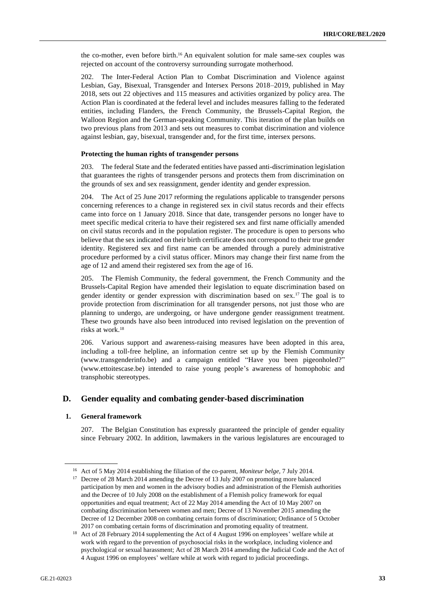the co-mother, even before birth. <sup>16</sup> An equivalent solution for male same-sex couples was rejected on account of the controversy surrounding surrogate motherhood.

202. The Inter-Federal Action Plan to Combat Discrimination and Violence against Lesbian, Gay, Bisexual, Transgender and Intersex Persons 2018–2019, published in May 2018, sets out 22 objectives and 115 measures and activities organized by policy area. The Action Plan is coordinated at the federal level and includes measures falling to the federated entities, including Flanders, the French Community, the Brussels-Capital Region, the Walloon Region and the German-speaking Community. This iteration of the plan builds on two previous plans from 2013 and sets out measures to combat discrimination and violence against lesbian, gay, bisexual, transgender and, for the first time, intersex persons.

#### **Protecting the human rights of transgender persons**

203. The federal State and the federated entities have passed anti-discrimination legislation that guarantees the rights of transgender persons and protects them from discrimination on the grounds of sex and sex reassignment, gender identity and gender expression.

204. The Act of 25 June 2017 reforming the regulations applicable to transgender persons concerning references to a change in registered sex in civil status records and their effects came into force on 1 January 2018. Since that date, transgender persons no longer have to meet specific medical criteria to have their registered sex and first name officially amended on civil status records and in the population register. The procedure is open to persons who believe that the sex indicated on their birth certificate does not correspond to their true gender identity. Registered sex and first name can be amended through a purely administrative procedure performed by a civil status officer. Minors may change their first name from the age of 12 and amend their registered sex from the age of 16.

205. The Flemish Community, the federal government, the French Community and the Brussels-Capital Region have amended their legislation to equate discrimination based on gender identity or gender expression with discrimination based on sex.<sup>17</sup> The goal is to provide protection from discrimination for all transgender persons, not just those who are planning to undergo, are undergoing, or have undergone gender reassignment treatment. These two grounds have also been introduced into revised legislation on the prevention of risks at work.<sup>18</sup>

206. Various support and awareness-raising measures have been adopted in this area, including a toll-free helpline, an information centre set up by the Flemish Community (www.transgenderinfo.be) and a campaign entitled "Have you been pigeonholed?" (www.ettoitescase.be) intended to raise young people's awareness of homophobic and transphobic stereotypes.

## **D. Gender equality and combating gender-based discrimination**

#### **1. General framework**

207. The Belgian Constitution has expressly guaranteed the principle of gender equality since February 2002. In addition, lawmakers in the various legislatures are encouraged to

<sup>16</sup> Act of 5 May 2014 establishing the filiation of the co-parent, *Moniteur belge*, 7 July 2014.

<sup>&</sup>lt;sup>17</sup> Decree of 28 March 2014 amending the Decree of 13 July 2007 on promoting more balanced participation by men and women in the advisory bodies and administration of the Flemish authorities and the Decree of 10 July 2008 on the establishment of a Flemish policy framework for equal opportunities and equal treatment; Act of 22 May 2014 amending the Act of 10 May 2007 on combating discrimination between women and men; Decree of 13 November 2015 amending the Decree of 12 December 2008 on combating certain forms of discrimination; Ordinance of 5 October 2017 on combating certain forms of discrimination and promoting equality of treatment.

<sup>&</sup>lt;sup>18</sup> Act of 28 February 2014 supplementing the Act of 4 August 1996 on employees' welfare while at work with regard to the prevention of psychosocial risks in the workplace, including violence and psychological or sexual harassment; Act of 28 March 2014 amending the Judicial Code and the Act of 4 August 1996 on employees' welfare while at work with regard to judicial proceedings.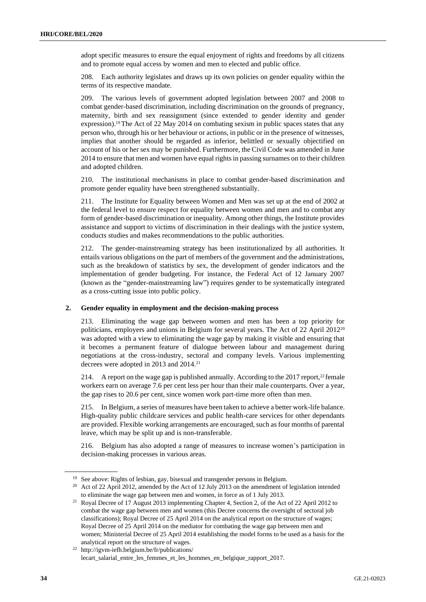adopt specific measures to ensure the equal enjoyment of rights and freedoms by all citizens and to promote equal access by women and men to elected and public office.

208. Each authority legislates and draws up its own policies on gender equality within the terms of its respective mandate.

209. The various levels of government adopted legislation between 2007 and 2008 to combat gender-based discrimination, including discrimination on the grounds of pregnancy, maternity, birth and sex reassignment (since extended to gender identity and gender expression).<sup>19</sup> The Act of 22 May 2014 on combating sexism in public spaces states that any person who, through his or her behaviour or actions, in public or in the presence of witnesses, implies that another should be regarded as inferior, belittled or sexually objectified on account of his or her sex may be punished. Furthermore, the Civil Code was amended in June 2014 to ensure that men and women have equal rights in passing surnames on to their children and adopted children.

210. The institutional mechanisms in place to combat gender-based discrimination and promote gender equality have been strengthened substantially.

211. The Institute for Equality between Women and Men was set up at the end of 2002 at the federal level to ensure respect for equality between women and men and to combat any form of gender-based discrimination or inequality. Among other things, the Institute provides assistance and support to victims of discrimination in their dealings with the justice system, conducts studies and makes recommendations to the public authorities.

212. The gender-mainstreaming strategy has been institutionalized by all authorities. It entails various obligations on the part of members of the government and the administrations, such as the breakdown of statistics by sex, the development of gender indicators and the implementation of gender budgeting. For instance, the Federal Act of 12 January 2007 (known as the "gender-mainstreaming law") requires gender to be systematically integrated as a cross-cutting issue into public policy.

#### **2. Gender equality in employment and the decision-making process**

213. Eliminating the wage gap between women and men has been a top priority for politicians, employers and unions in Belgium for several years. The Act of 22 April 2012<sup>20</sup> was adopted with a view to eliminating the wage gap by making it visible and ensuring that it becomes a permanent feature of dialogue between labour and management during negotiations at the cross-industry, sectoral and company levels. Various implementing decrees were adopted in 2013 and 2014.<sup>21</sup>

214. A report on the wage gap is published annually. According to the  $2017$  report,<sup>22</sup> female workers earn on average 7.6 per cent less per hour than their male counterparts. Over a year, the gap rises to 20.6 per cent, since women work part-time more often than men.

215. In Belgium, a series of measures have been taken to achieve a better work-life balance. High-quality public childcare services and public health-care services for other dependants are provided. Flexible working arrangements are encouraged, such as four months of parental leave, which may be split up and is non-transferable.

216. Belgium has also adopted a range of measures to increase women's participation in decision-making processes in various areas.

<sup>&</sup>lt;sup>19</sup> See above: Rights of lesbian, gay, bisexual and transgender persons in Belgium.

<sup>&</sup>lt;sup>20</sup> Act of 22 April 2012, amended by the Act of 12 July 2013 on the amendment of legislation intended to eliminate the wage gap between men and women, in force as of 1 July 2013.

<sup>21</sup> Royal Decree of 17 August 2013 implementing Chapter 4, Section 2, of the Act of 22 April 2012 to combat the wage gap between men and women (this Decree concerns the oversight of sectoral job classifications); Royal Decree of 25 April 2014 on the analytical report on the structure of wages; Royal Decree of 25 April 2014 on the mediator for combating the wage gap between men and women; Ministerial Decree of 25 April 2014 establishing the model forms to be used as a basis for the analytical report on the structure of wages.

<sup>22</sup> http://igvm-iefh.belgium.be/fr/publications/ lecart\_salarial\_entre\_les\_femmes\_et\_les\_hommes\_en\_belgique\_rapport\_2017.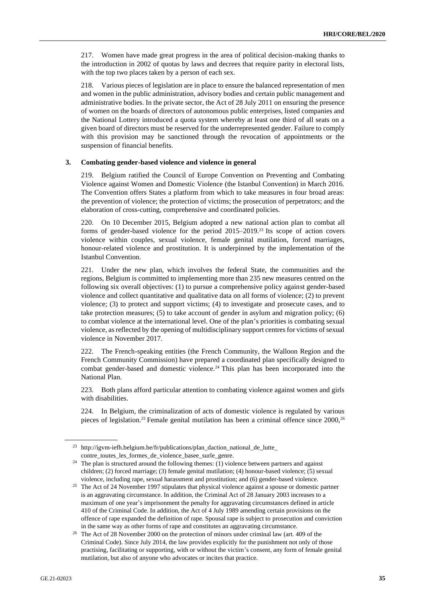217. Women have made great progress in the area of political decision-making thanks to the introduction in 2002 of quotas by laws and decrees that require parity in electoral lists, with the top two places taken by a person of each sex.

218. Various pieces of legislation are in place to ensure the balanced representation of men and women in the public administration, advisory bodies and certain public management and administrative bodies. In the private sector, the Act of 28 July 2011 on ensuring the presence of women on the boards of directors of autonomous public enterprises, listed companies and the National Lottery introduced a quota system whereby at least one third of all seats on a given board of directors must be reserved for the underrepresented gender. Failure to comply with this provision may be sanctioned through the revocation of appointments or the suspension of financial benefits.

#### **3. Combating gender-based violence and violence in general**

219. Belgium ratified the Council of Europe Convention on Preventing and Combating Violence against Women and Domestic Violence (the Istanbul Convention) in March 2016. The Convention offers States a platform from which to take measures in four broad areas: the prevention of violence; the protection of victims; the prosecution of perpetrators; and the elaboration of cross-cutting, comprehensive and coordinated policies.

220. On 10 December 2015, Belgium adopted a new national action plan to combat all forms of gender-based violence for the period 2015–2019.<sup>23</sup> Its scope of action covers violence within couples, sexual violence, female genital mutilation, forced marriages, honour-related violence and prostitution. It is underpinned by the implementation of the Istanbul Convention.

221. Under the new plan, which involves the federal State, the communities and the regions, Belgium is committed to implementing more than 235 new measures centred on the following six overall objectives: (1) to pursue a comprehensive policy against gender-based violence and collect quantitative and qualitative data on all forms of violence; (2) to prevent violence; (3) to protect and support victims; (4) to investigate and prosecute cases, and to take protection measures; (5) to take account of gender in asylum and migration policy; (6) to combat violence at the international level. One of the plan's priorities is combating sexual violence, as reflected by the opening of multidisciplinary support centres for victims of sexual violence in November 2017.

222. The French-speaking entities (the French Community, the Walloon Region and the French Community Commission) have prepared a coordinated plan specifically designed to combat gender-based and domestic violence.<sup>24</sup> This plan has been incorporated into the National Plan.

223. Both plans afford particular attention to combating violence against women and girls with disabilities.

224. In Belgium, the criminalization of acts of domestic violence is regulated by various pieces of legislation.<sup>25</sup> Female genital mutilation has been a criminal offence since 2000,<sup>26</sup>

<sup>&</sup>lt;sup>23</sup> http://igvm-iefh.belgium.be/fr/publications/plan\_daction\_national\_de\_lutte\_ contre\_toutes\_les\_formes\_de\_violence\_basee\_surle\_genre.

 $24$  The plan is structured around the following themes: (1) violence between partners and against children; (2) forced marriage; (3) female genital mutilation; (4) honour-based violence; (5) sexual violence, including rape, sexual harassment and prostitution; and (6) gender-based violence.

<sup>&</sup>lt;sup>25</sup> The Act of 24 November 1997 stipulates that physical violence against a spouse or domestic partner is an aggravating circumstance. In addition, the Criminal Act of 28 January 2003 increases to a maximum of one year's imprisonment the penalty for aggravating circumstances defined in article 410 of the Criminal Code. In addition, the Act of 4 July 1989 amending certain provisions on the offence of rape expanded the definition of rape. Spousal rape is subject to prosecution and conviction in the same way as other forms of rape and constitutes an aggravating circumstance.

<sup>&</sup>lt;sup>26</sup> The Act of 28 November 2000 on the protection of minors under criminal law (art. 409 of the Criminal Code). Since July 2014, the law provides explicitly for the punishment not only of those practising, facilitating or supporting, with or without the victim's consent, any form of female genital mutilation, but also of anyone who advocates or incites that practice.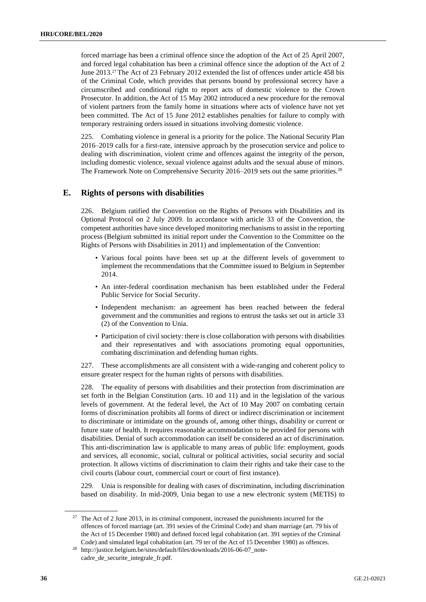forced marriage has been a criminal offence since the adoption of the Act of 25 April 2007, and forced legal cohabitation has been a criminal offence since the adoption of the Act of 2 June 2013.<sup>27</sup> The Act of 23 February 2012 extended the list of offences under article 458 bis of the Criminal Code, which provides that persons bound by professional secrecy have a circumscribed and conditional right to report acts of domestic violence to the Crown Prosecutor. In addition, the Act of 15 May 2002 introduced a new procedure for the removal of violent partners from the family home in situations where acts of violence have not yet been committed. The Act of 15 June 2012 establishes penalties for failure to comply with temporary restraining orders issued in situations involving domestic violence.

225. Combating violence in general is a priority for the police. The National Security Plan 2016–2019 calls for a first-rate, intensive approach by the prosecution service and police to dealing with discrimination, violent crime and offences against the integrity of the person, including domestic violence, sexual violence against adults and the sexual abuse of minors. The Framework Note on Comprehensive Security 2016–2019 sets out the same priorities.<sup>28</sup>

## **E. Rights of persons with disabilities**

226. Belgium ratified the Convention on the Rights of Persons with Disabilities and its Optional Protocol on 2 July 2009. In accordance with article 33 of the Convention, the competent authorities have since developed monitoring mechanisms to assist in the reporting process (Belgium submitted its initial report under the Convention to the Committee on the Rights of Persons with Disabilities in 2011) and implementation of the Convention:

- Various focal points have been set up at the different levels of government to implement the recommendations that the Committee issued to Belgium in September 2014.
- An inter-federal coordination mechanism has been established under the Federal Public Service for Social Security.
- Independent mechanism: an agreement has been reached between the federal government and the communities and regions to entrust the tasks set out in article 33 (2) of the Convention to Unia.
- Participation of civil society: there is close collaboration with persons with disabilities and their representatives and with associations promoting equal opportunities, combating discrimination and defending human rights.

227. These accomplishments are all consistent with a wide-ranging and coherent policy to ensure greater respect for the human rights of persons with disabilities.

228. The equality of persons with disabilities and their protection from discrimination are set forth in the Belgian Constitution (arts. 10 and 11) and in the legislation of the various levels of government. At the federal level, the Act of 10 May 2007 on combating certain forms of discrimination prohibits all forms of direct or indirect discrimination or incitement to discriminate or intimidate on the grounds of, among other things, disability or current or future state of health. It requires reasonable accommodation to be provided for persons with disabilities. Denial of such accommodation can itself be considered an act of discrimination. This anti-discrimination law is applicable to many areas of public life: employment, goods and services, all economic, social, cultural or political activities, social security and social protection. It allows victims of discrimination to claim their rights and take their case to the civil courts (labour court, commercial court or court of first instance).

229. Unia is responsible for dealing with cases of discrimination, including discrimination based on disability. In mid-2009, Unia began to use a new electronic system (METIS) to

<sup>&</sup>lt;sup>27</sup> The Act of 2 June 2013, in its criminal component, increased the punishments incurred for the offences of forced marriage (art. 391 sexies of the Criminal Code) and sham marriage (art. 79 bis of the Act of 15 December 1980) and defined forced legal cohabitation (art. 391 septies of the Criminal Code) and simulated legal cohabitation (art. 79 ter of the Act of 15 December 1980) as offences.

<sup>28</sup> http://justice.belgium.be/sites/default/files/downloads/2016-06-07\_notecadre\_de\_securite\_integrale\_fr.pdf.